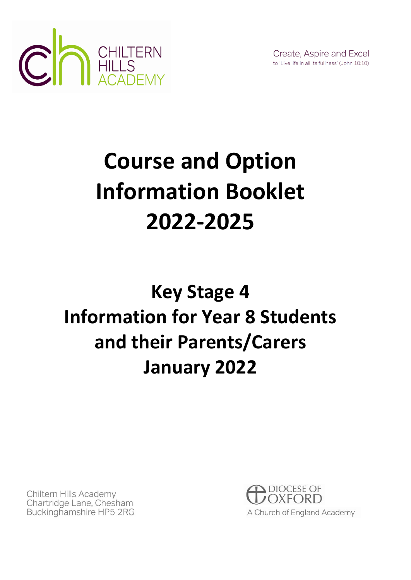

Create, Aspire and Excel to 'Live life in all its fullness' (John 10:10)

## **Course and Option Information Booklet 2022-2025**

## **Key Stage 4 Information for Year 8 Students and their Parents/Carers January 2022**

Chiltern Hills Academy Chartridge Lane, Chesham Buckinghamshire HP5 2RG

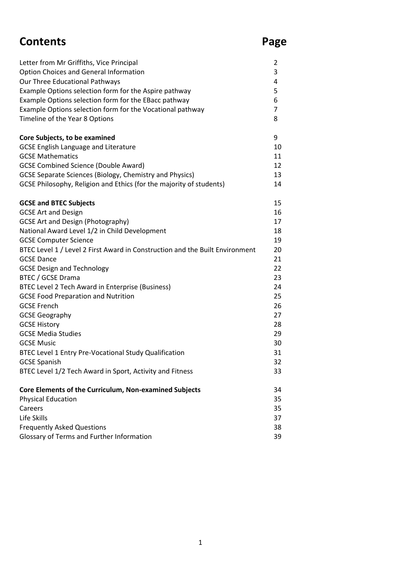#### **Contents Page**

| Letter from Mr Griffiths, Vice Principal                                     | 2              |
|------------------------------------------------------------------------------|----------------|
| <b>Option Choices and General Information</b>                                | 3              |
| Our Three Educational Pathways                                               | 4              |
| Example Options selection form for the Aspire pathway                        | 5              |
| Example Options selection form for the EBacc pathway                         | 6              |
| Example Options selection form for the Vocational pathway                    | $\overline{7}$ |
| Timeline of the Year 8 Options                                               | 8              |
|                                                                              |                |
| Core Subjects, to be examined                                                | 9              |
| <b>GCSE English Language and Literature</b>                                  | 10             |
| <b>GCSE Mathematics</b>                                                      | 11             |
| <b>GCSE Combined Science (Double Award)</b>                                  | 12             |
|                                                                              | 13             |
| GCSE Separate Sciences (Biology, Chemistry and Physics)                      |                |
| GCSE Philosophy, Religion and Ethics (for the majority of students)          | 14             |
| <b>GCSE and BTEC Subjects</b>                                                | 15             |
| <b>GCSE Art and Design</b>                                                   | 16             |
|                                                                              | 17             |
| <b>GCSE Art and Design (Photography)</b>                                     |                |
| National Award Level 1/2 in Child Development                                | 18             |
| <b>GCSE Computer Science</b>                                                 | 19             |
| BTEC Level 1 / Level 2 First Award in Construction and the Built Environment | 20             |
| <b>GCSE Dance</b>                                                            | 21             |
| <b>GCSE Design and Technology</b>                                            | 22             |
| <b>BTEC / GCSE Drama</b>                                                     | 23             |
| BTEC Level 2 Tech Award in Enterprise (Business)                             | 24             |
| <b>GCSE Food Preparation and Nutrition</b>                                   | 25             |
| <b>GCSE French</b>                                                           | 26             |
| <b>GCSE Geography</b>                                                        | 27             |
| <b>GCSE History</b>                                                          | 28             |
| <b>GCSE Media Studies</b>                                                    | 29             |
| <b>GCSE Music</b>                                                            | 30             |
| BTEC Level 1 Entry Pre-Vocational Study Qualification                        | 31             |
| <b>GCSE Spanish</b>                                                          | 32             |
| BTEC Level 1/2 Tech Award in Sport, Activity and Fitness                     | 33             |
|                                                                              |                |
| Core Elements of the Curriculum, Non-examined Subjects                       | 34             |
| <b>Physical Education</b>                                                    | 35             |
| Careers                                                                      | 35             |
| Life Skills                                                                  | 37             |
| <b>Frequently Asked Questions</b>                                            | 38             |
| Glossary of Terms and Further Information                                    | 39             |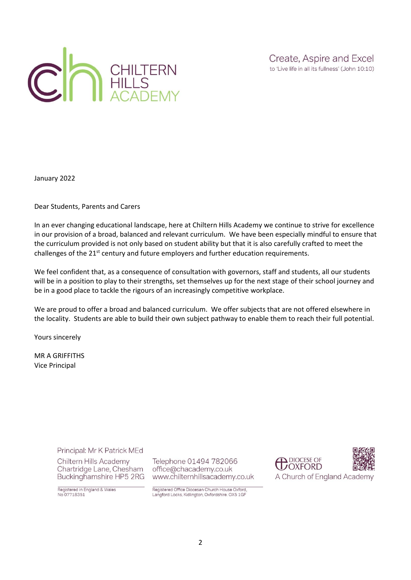

Create, Aspire and Excel to 'Live life in all its fullness' (John 10:10)

January 2022

Dear Students, Parents and Carers

In an ever changing educational landscape, here at Chiltern Hills Academy we continue to strive for excellence in our provision of a broad, balanced and relevant curriculum. We have been especially mindful to ensure that the curriculum provided is not only based on student ability but that it is also carefully crafted to meet the challenges of the  $21<sup>st</sup>$  century and future employers and further education requirements.

We feel confident that, as a consequence of consultation with governors, staff and students, all our students will be in a position to play to their strengths, set themselves up for the next stage of their school journey and be in a good place to tackle the rigours of an increasingly competitive workplace.

We are proud to offer a broad and balanced curriculum. We offer subjects that are not offered elsewhere in the locality. Students are able to build their own subject pathway to enable them to reach their full potential.

Yours sincerely

MR A GRIFFITHS Vice Principal

Principal: Mr K Patrick MEd

Chiltern Hills Academy Chartridge Lane, Chesham Buckinghamshire HP5 2RG Telephone 01494 782066 office@chacademy.co.uk www.chilternhillsacademy.co.uk

Registered in England & Wales No 07718351

Registered Office Diocesan Church House Oxford, Langford Locks, Kidlington, Oxfordshire. OX5 1GF

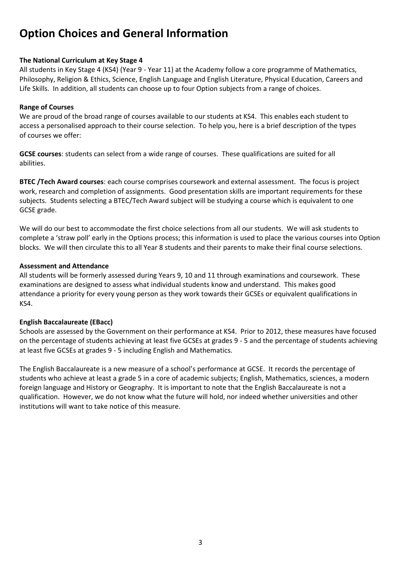#### **Option Choices and General Information**

#### **The National Curriculum at Key Stage 4**

All students in Key Stage 4 (KS4) (Year 9 - Year 11) at the Academy follow a core programme of Mathematics, Philosophy, Religion & Ethics, Science, English Language and English Literature, Physical Education, Careers and Life Skills. In addition, all students can choose up to four Option subjects from a range of choices.

#### **Range of Courses**

We are proud of the broad range of courses available to our students at KS4. This enables each student to access a personalised approach to their course selection. To help you, here is a brief description of the types of courses we offer:

**GCSE courses**: students can select from a wide range of courses. These qualifications are suited for all abilities.

**BTEC /Tech Award courses**: each course comprises coursework and external assessment. The focus is project work, research and completion of assignments. Good presentation skills are important requirements for these subjects. Students selecting a BTEC/Tech Award subject will be studying a course which is equivalent to one GCSE grade.

We will do our best to accommodate the first choice selections from all our students. We will ask students to complete a 'straw poll' early in the Options process; this information is used to place the various courses into Option blocks. We will then circulate this to all Year 8 students and their parents to make their final course selections.

#### **Assessment and Attendance**

All students will be formerly assessed during Years 9, 10 and 11 through examinations and coursework. These examinations are designed to assess what individual students know and understand. This makes good attendance a priority for every young person as they work towards their GCSEs or equivalent qualifications in KS4.

#### **English Baccalaureate (EBacc)**

Schools are assessed by the Government on their performance at KS4. Prior to 2012, these measures have focused on the percentage of students achieving at least five GCSEs at grades 9 - 5 and the percentage of students achieving at least five GCSEs at grades 9 - 5 including English and Mathematics.

The English Baccalaureate is a new measure of a school's performance at GCSE. It records the percentage of students who achieve at least a grade 5 in a core of academic subjects; English, Mathematics, sciences, a modern foreign language and History or Geography. It is important to note that the English Baccalaureate is not a qualification. However, we do not know what the future will hold, nor indeed whether universities and other institutions will want to take notice of this measure.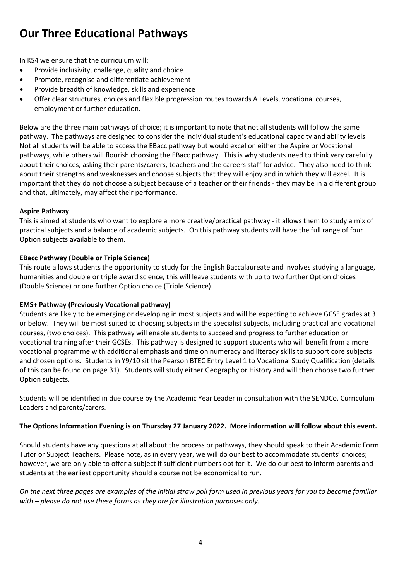#### **Our Three Educational Pathways**

In KS4 we ensure that the curriculum will:

- Provide inclusivity, challenge, quality and choice
- Promote, recognise and differentiate achievement
- Provide breadth of knowledge, skills and experience
- Offer clear structures, choices and flexible progression routes towards A Levels, vocational courses, employment or further education.

Below are the three main pathways of choice; it is important to note that not all students will follow the same pathway. The pathways are designed to consider the individual student's educational capacity and ability levels. Not all students will be able to access the EBacc pathway but would excel on either the Aspire or Vocational pathways, while others will flourish choosing the EBacc pathway. This is why students need to think very carefully about their choices, asking their parents/carers, teachers and the careers staff for advice. They also need to think about their strengths and weaknesses and choose subjects that they will enjoy and in which they will excel. It is important that they do not choose a subject because of a teacher or their friends - they may be in a different group and that, ultimately, may affect their performance.

#### **Aspire Pathway**

This is aimed at students who want to explore a more creative/practical pathway - it allows them to study a mix of practical subjects and a balance of academic subjects. On this pathway students will have the full range of four Option subjects available to them.

#### **EBacc Pathway (Double or Triple Science)**

This route allows students the opportunity to study for the English Baccalaureate and involves studying a language, humanities and double or triple award science, this will leave students with up to two further Option choices (Double Science) or one further Option choice (Triple Science).

#### **EMS+ Pathway (Previously Vocational pathway)**

Students are likely to be emerging or developing in most subjects and will be expecting to achieve GCSE grades at 3 or below. They will be most suited to choosing subjects in the specialist subjects, including practical and vocational courses, (two choices). This pathway will enable students to succeed and progress to further education or vocational training after their GCSEs. This pathway is designed to support students who will benefit from a more vocational programme with additional emphasis and time on numeracy and literacy skills to support core subjects and chosen options. Students in Y9/10 sit the Pearson BTEC Entry Level 1 to Vocational Study Qualification (details of this can be found on page 31). Students will study either Geography or History and will then choose two further Option subjects.

Students will be identified in due course by the Academic Year Leader in consultation with the SENDCo, Curriculum Leaders and parents/carers.

#### **The Options Information Evening is on Thursday 27 January 2022. More information will follow about this event.**

Should students have any questions at all about the process or pathways, they should speak to their Academic Form Tutor or Subject Teachers. Please note, as in every year, we will do our best to accommodate students' choices; however, we are only able to offer a subject if sufficient numbers opt for it. We do our best to inform parents and students at the earliest opportunity should a course not be economical to run.

*On the next three pages are examples of the initial straw poll form used in previous years for you to become familiar with – please do not use these forms as they are for illustration purposes only.*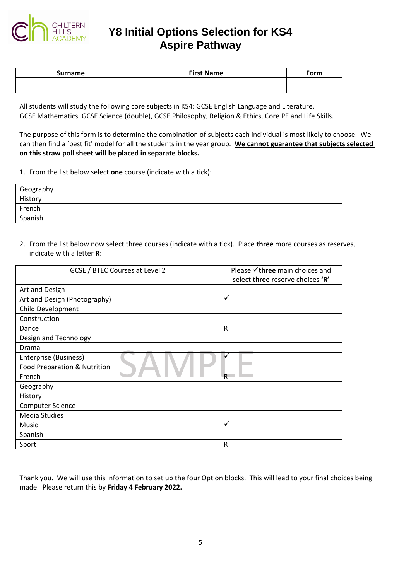

#### **Y8 Initial Options Selection for KS4 Aspire Pathway**

| Surname | <b>First Name</b> | Form |
|---------|-------------------|------|
|         |                   |      |

All students will study the following core subjects in KS4: GCSE English Language and Literature, GCSE Mathematics, GCSE Science (double), GCSE Philosophy, Religion & Ethics, Core PE and Life Skills.

The purpose of this form is to determine the combination of subjects each individual is most likely to choose. We can then find a 'best fit' model for all the students in the year group. **We cannot guarantee that subjects selected on this straw poll sheet will be placed in separate blocks.**

1. From the list below select **one** course (indicate with a tick):

| Geography |  |
|-----------|--|
| History   |  |
| French    |  |
| Spanish   |  |
|           |  |

2. From the list below now select three courses (indicate with a tick). Place **three** more courses as reserves, indicate with a letter **R**:

| GCSE / BTEC Courses at Level 2 | Please $\checkmark$ three main choices and<br>select three reserve choices 'R' |
|--------------------------------|--------------------------------------------------------------------------------|
| Art and Design                 |                                                                                |
| Art and Design (Photography)   | $\checkmark$                                                                   |
| Child Development              |                                                                                |
| Construction                   |                                                                                |
| Dance                          | R                                                                              |
| Design and Technology          |                                                                                |
| Drama                          |                                                                                |
| Enterprise (Business)          | $\checkmark$                                                                   |
| Food Preparation & Nutrition   |                                                                                |
| French                         | R                                                                              |
| Geography                      |                                                                                |
| History                        |                                                                                |
| <b>Computer Science</b>        |                                                                                |
| <b>Media Studies</b>           |                                                                                |
| Music                          | ✓                                                                              |
| Spanish                        |                                                                                |
| Sport                          | R                                                                              |

Thank you. We will use this information to set up the four Option blocks. This will lead to your final choices being made. Please return this by **Friday 4 February 2022.**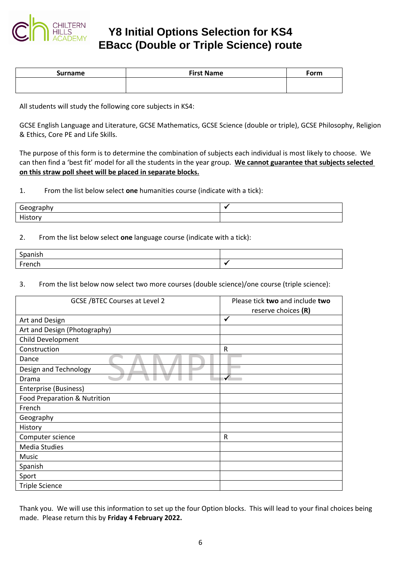

#### **Y8 Initial Options Selection for KS4 EBacc (Double or Triple Science) route**

| <b>First Name</b> | Form |
|-------------------|------|
|                   |      |
|                   |      |

All students will study the following core subjects in KS4:

GCSE English Language and Literature, GCSE Mathematics, GCSE Science (double or triple), GCSE Philosophy, Religion & Ethics, Core PE and Life Skills.

The purpose of this form is to determine the combination of subjects each individual is most likely to choose. We can then find a 'best fit' model for all the students in the year group. **We cannot guarantee that subjects selected on this straw poll sheet will be placed in separate blocks.**

1. From the list below select **one** humanities course (indicate with a tick):

| Geography<br><u>peraminy</u><br>ocos, |  |
|---------------------------------------|--|
| History                               |  |

#### 2. From the list below select **one** language course (indicate with a tick):

| ∽<br>.             |  |
|--------------------|--|
| From a<br>.<br>וטו |  |

3. From the list below now select two more courses (double science)/one course (triple science):

| <b>GCSE /BTEC Courses at Level 2</b> | Please tick two and include two<br>reserve choices (R) |
|--------------------------------------|--------------------------------------------------------|
| Art and Design                       | $\checkmark$                                           |
| Art and Design (Photography)         |                                                        |
| Child Development                    |                                                        |
| Construction                         | R                                                      |
| Dance                                |                                                        |
| Design and Technology                |                                                        |
| Drama                                | $\checkmark$                                           |
| Enterprise (Business)                |                                                        |
| Food Preparation & Nutrition         |                                                        |
| French                               |                                                        |
| Geography                            |                                                        |
| History                              |                                                        |
| Computer science                     | $\mathsf R$                                            |
| <b>Media Studies</b>                 |                                                        |
| Music                                |                                                        |
| Spanish                              |                                                        |
| Sport                                |                                                        |
| <b>Triple Science</b>                |                                                        |

Thank you. We will use this information to set up the four Option blocks. This will lead to your final choices being made. Please return this by **Friday 4 February 2022.**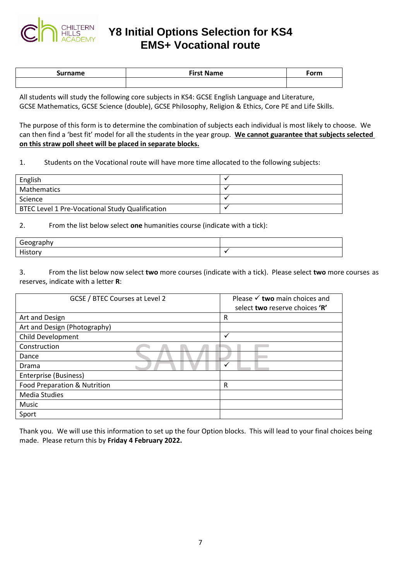

**Y8 Initial Options Selection for KS4 EMS+ Vocational route**

| Surname | <b>Sirct Nomo</b><br><b>Name</b> | <sup>ະ</sup> orm |
|---------|----------------------------------|------------------|
|         |                                  |                  |

All students will study the following core subjects in KS4: GCSE English Language and Literature, GCSE Mathematics, GCSE Science (double), GCSE Philosophy, Religion & Ethics, Core PE and Life Skills.

The purpose of this form is to determine the combination of subjects each individual is most likely to choose. We can then find a 'best fit' model for all the students in the year group. **We cannot guarantee that subjects selected on this straw poll sheet will be placed in separate blocks.**

1. Students on the Vocational route will have more time allocated to the following subjects:

| English                                         |  |
|-------------------------------------------------|--|
| <b>Mathematics</b>                              |  |
| Science                                         |  |
| BTEC Level 1 Pre-Vocational Study Qualification |  |

2. From the list below select **one** humanities course (indicate with a tick):

| Geography<br>$\sim$ $\sim$ $\sim$ $\sim$ $\sim$ |  |
|-------------------------------------------------|--|
| Histor<br>.                                     |  |

3. From the list below now select **two** more courses (indicate with a tick). Please select **two** more courses as reserves, indicate with a letter **R**:

| GCSE / BTEC Courses at Level 2 | Please $\checkmark$ two main choices and<br>select two reserve choices 'R' |
|--------------------------------|----------------------------------------------------------------------------|
| Art and Design                 | R                                                                          |
| Art and Design (Photography)   |                                                                            |
| <b>Child Development</b>       | ✓                                                                          |
| Construction                   |                                                                            |
| Dance                          |                                                                            |
| Drama                          | v                                                                          |
| Enterprise (Business)          |                                                                            |
| Food Preparation & Nutrition   | R                                                                          |
| <b>Media Studies</b>           |                                                                            |
| Music                          |                                                                            |
| Sport                          |                                                                            |

Thank you. We will use this information to set up the four Option blocks. This will lead to your final choices being made. Please return this by **Friday 4 February 2022.**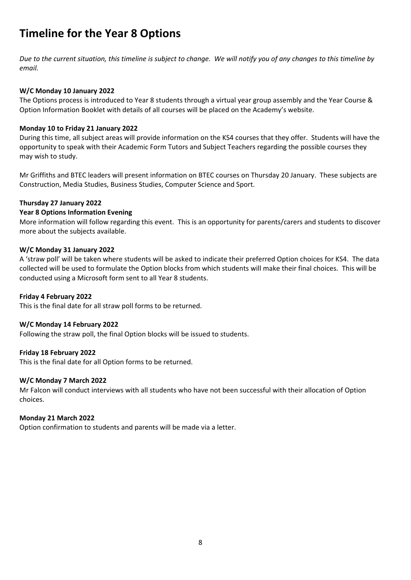#### **Timeline for the Year 8 Options**

*Due to the current situation, this timeline is subject to change. We will notify you of any changes to this timeline by email.*

#### **W/C Monday 10 January 2022**

The Options process is introduced to Year 8 students through a virtual year group assembly and the Year Course & Option Information Booklet with details of all courses will be placed on the Academy's website.

#### **Monday 10 to Friday 21 January 2022**

During this time, all subject areas will provide information on the KS4 courses that they offer. Students will have the opportunity to speak with their Academic Form Tutors and Subject Teachers regarding the possible courses they may wish to study.

Mr Griffiths and BTEC leaders will present information on BTEC courses on Thursday 20 January. These subjects are Construction, Media Studies, Business Studies, Computer Science and Sport.

#### **Thursday 27 January 2022**

#### **Year 8 Options Information Evening**

More information will follow regarding this event.This is an opportunity for parents/carers and students to discover more about the subjects available.

#### **W/C Monday 31 January 2022**

A 'straw poll' will be taken where students will be asked to indicate their preferred Option choices for KS4. The data collected will be used to formulate the Option blocks from which students will make their final choices. This will be conducted using a Microsoft form sent to all Year 8 students.

#### **Friday 4 February 2022**

This is the final date for all straw poll forms to be returned.

#### **W/C Monday 14 February 2022**

Following the straw poll, the final Option blocks will be issued to students.

#### **Friday 18 February 2022**

This is the final date for all Option forms to be returned.

#### **W/C Monday 7 March 2022**

Mr Falcon will conduct interviews with all students who have not been successful with their allocation of Option choices.

#### **Monday 21 March 2022**

Option confirmation to students and parents will be made via a letter.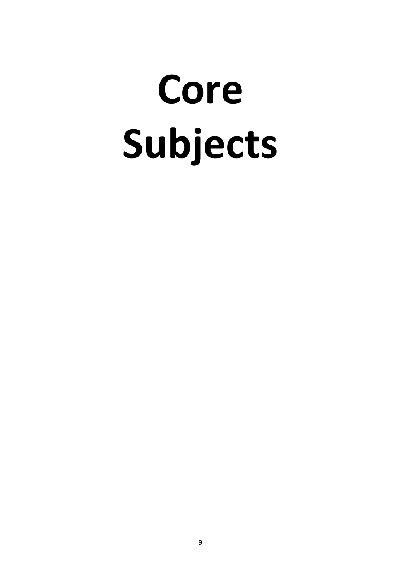# **Core Subjects**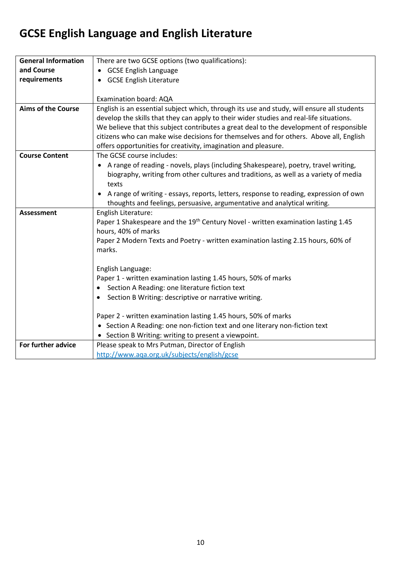## **GCSE English Language and English Literature**

| <b>General Information</b> | There are two GCSE options (two qualifications):                                              |
|----------------------------|-----------------------------------------------------------------------------------------------|
| and Course                 | <b>GCSE English Language</b>                                                                  |
| requirements               | <b>GCSE English Literature</b>                                                                |
|                            |                                                                                               |
|                            | Examination board: AQA                                                                        |
| <b>Aims of the Course</b>  | English is an essential subject which, through its use and study, will ensure all students    |
|                            | develop the skills that they can apply to their wider studies and real-life situations.       |
|                            | We believe that this subject contributes a great deal to the development of responsible       |
|                            | citizens who can make wise decisions for themselves and for others. Above all, English        |
|                            | offers opportunities for creativity, imagination and pleasure.                                |
| <b>Course Content</b>      | The GCSE course includes:                                                                     |
|                            | A range of reading - novels, plays (including Shakespeare), poetry, travel writing,           |
|                            | biography, writing from other cultures and traditions, as well as a variety of media          |
|                            | texts                                                                                         |
|                            | A range of writing - essays, reports, letters, response to reading, expression of own         |
|                            | thoughts and feelings, persuasive, argumentative and analytical writing.                      |
| <b>Assessment</b>          | English Literature:                                                                           |
|                            | Paper 1 Shakespeare and the 19 <sup>th</sup> Century Novel - written examination lasting 1.45 |
|                            | hours, 40% of marks                                                                           |
|                            | Paper 2 Modern Texts and Poetry - written examination lasting 2.15 hours, 60% of              |
|                            | marks.                                                                                        |
|                            |                                                                                               |
|                            | English Language:<br>Paper 1 - written examination lasting 1.45 hours, 50% of marks           |
|                            | Section A Reading: one literature fiction text<br>$\bullet$                                   |
|                            | Section B Writing: descriptive or narrative writing.                                          |
|                            |                                                                                               |
|                            | Paper 2 - written examination lasting 1.45 hours, 50% of marks                                |
|                            | Section A Reading: one non-fiction text and one literary non-fiction text                     |
|                            | Section B Writing: writing to present a viewpoint.                                            |
| For further advice         | Please speak to Mrs Putman, Director of English                                               |
|                            | http://www.aqa.org.uk/subjects/english/gcse                                                   |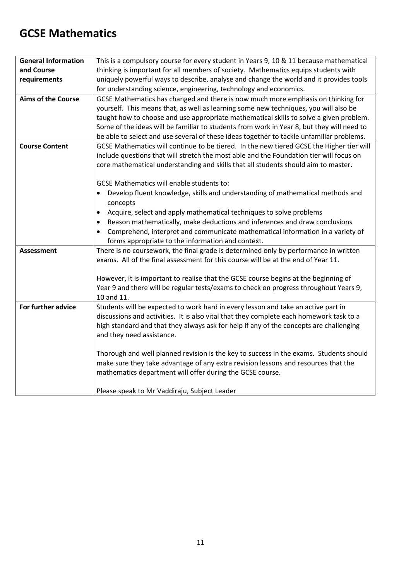#### **GCSE Mathematics**

| <b>General Information</b> | This is a compulsory course for every student in Years 9, 10 & 11 because mathematical                                                                                                                                                                                                              |
|----------------------------|-----------------------------------------------------------------------------------------------------------------------------------------------------------------------------------------------------------------------------------------------------------------------------------------------------|
| and Course                 | thinking is important for all members of society. Mathematics equips students with                                                                                                                                                                                                                  |
| requirements               | uniquely powerful ways to describe, analyse and change the world and it provides tools                                                                                                                                                                                                              |
|                            | for understanding science, engineering, technology and economics.                                                                                                                                                                                                                                   |
| <b>Aims of the Course</b>  | GCSE Mathematics has changed and there is now much more emphasis on thinking for<br>yourself. This means that, as well as learning some new techniques, you will also be                                                                                                                            |
|                            | taught how to choose and use appropriate mathematical skills to solve a given problem.<br>Some of the ideas will be familiar to students from work in Year 8, but they will need to<br>be able to select and use several of these ideas together to tackle unfamiliar problems.                     |
| <b>Course Content</b>      | GCSE Mathematics will continue to be tiered. In the new tiered GCSE the Higher tier will<br>include questions that will stretch the most able and the Foundation tier will focus on<br>core mathematical understanding and skills that all students should aim to master.                           |
|                            | <b>GCSE Mathematics will enable students to:</b><br>Develop fluent knowledge, skills and understanding of mathematical methods and<br>concepts                                                                                                                                                      |
|                            | Acquire, select and apply mathematical techniques to solve problems<br>$\bullet$                                                                                                                                                                                                                    |
|                            | Reason mathematically, make deductions and inferences and draw conclusions<br>$\bullet$                                                                                                                                                                                                             |
|                            | Comprehend, interpret and communicate mathematical information in a variety of<br>forms appropriate to the information and context.                                                                                                                                                                 |
| <b>Assessment</b>          | There is no coursework, the final grade is determined only by performance in written<br>exams. All of the final assessment for this course will be at the end of Year 11.                                                                                                                           |
|                            | However, it is important to realise that the GCSE course begins at the beginning of<br>Year 9 and there will be regular tests/exams to check on progress throughout Years 9,<br>10 and 11.                                                                                                          |
| For further advice         | Students will be expected to work hard in every lesson and take an active part in<br>discussions and activities. It is also vital that they complete each homework task to a<br>high standard and that they always ask for help if any of the concepts are challenging<br>and they need assistance. |
|                            | Thorough and well planned revision is the key to success in the exams. Students should<br>make sure they take advantage of any extra revision lessons and resources that the<br>mathematics department will offer during the GCSE course.                                                           |
|                            | Please speak to Mr Vaddiraju, Subject Leader                                                                                                                                                                                                                                                        |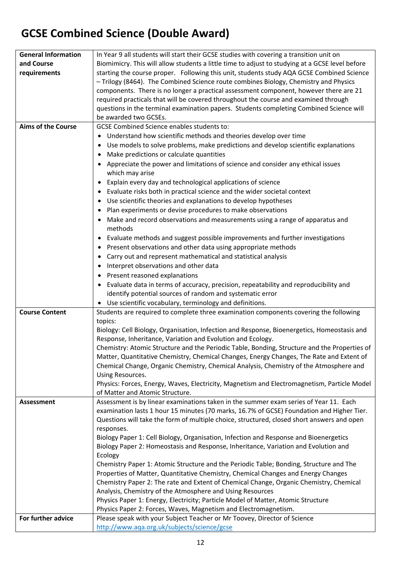## **GCSE Combined Science (Double Award)**

| <b>General Information</b><br>and Course | In Year 9 all students will start their GCSE studies with covering a transition unit on                                                                                                      |
|------------------------------------------|----------------------------------------------------------------------------------------------------------------------------------------------------------------------------------------------|
|                                          | Biomimicry. This will allow students a little time to adjust to studying at a GCSE level before<br>starting the course proper. Following this unit, students study AQA GCSE Combined Science |
| requirements                             |                                                                                                                                                                                              |
|                                          | - Trilogy (8464). The Combined Science route combines Biology, Chemistry and Physics                                                                                                         |
|                                          | components. There is no longer a practical assessment component, however there are 21                                                                                                        |
|                                          | required practicals that will be covered throughout the course and examined through                                                                                                          |
|                                          | questions in the terminal examination papers. Students completing Combined Science will                                                                                                      |
|                                          | be awarded two GCSEs.                                                                                                                                                                        |
| <b>Aims of the Course</b>                | <b>GCSE Combined Science enables students to:</b>                                                                                                                                            |
|                                          | Understand how scientific methods and theories develop over time                                                                                                                             |
|                                          | Use models to solve problems, make predictions and develop scientific explanations<br>$\bullet$                                                                                              |
|                                          | Make predictions or calculate quantities<br>$\bullet$                                                                                                                                        |
|                                          | Appreciate the power and limitations of science and consider any ethical issues                                                                                                              |
|                                          | which may arise                                                                                                                                                                              |
|                                          | Explain every day and technological applications of science<br>$\bullet$                                                                                                                     |
|                                          | Evaluate risks both in practical science and the wider societal context<br>$\bullet$                                                                                                         |
|                                          | Use scientific theories and explanations to develop hypotheses<br>$\bullet$                                                                                                                  |
|                                          | Plan experiments or devise procedures to make observations                                                                                                                                   |
|                                          | Make and record observations and measurements using a range of apparatus and<br>$\bullet$<br>methods                                                                                         |
|                                          | Evaluate methods and suggest possible improvements and further investigations                                                                                                                |
|                                          | Present observations and other data using appropriate methods<br>$\bullet$                                                                                                                   |
|                                          | Carry out and represent mathematical and statistical analysis<br>$\bullet$                                                                                                                   |
|                                          | Interpret observations and other data<br>$\bullet$                                                                                                                                           |
|                                          | Present reasoned explanations                                                                                                                                                                |
|                                          | $\bullet$                                                                                                                                                                                    |
|                                          | Evaluate data in terms of accuracy, precision, repeatability and reproducibility and<br>$\bullet$                                                                                            |
|                                          | identify potential sources of random and systematic error                                                                                                                                    |
| <b>Course Content</b>                    | Use scientific vocabulary, terminology and definitions.<br>Students are required to complete three examination components covering the following                                             |
|                                          | topics:                                                                                                                                                                                      |
|                                          | Biology: Cell Biology, Organisation, Infection and Response, Bioenergetics, Homeostasis and                                                                                                  |
|                                          | Response, Inheritance, Variation and Evolution and Ecology.                                                                                                                                  |
|                                          | Chemistry: Atomic Structure and the Periodic Table, Bonding, Structure and the Properties of                                                                                                 |
|                                          | Matter, Quantitative Chemistry, Chemical Changes, Energy Changes, The Rate and Extent of                                                                                                     |
|                                          | Chemical Change, Organic Chemistry, Chemical Analysis, Chemistry of the Atmosphere and                                                                                                       |
|                                          | Using Resources.                                                                                                                                                                             |
|                                          | Physics: Forces, Energy, Waves, Electricity, Magnetism and Electromagnetism, Particle Model                                                                                                  |
|                                          | of Matter and Atomic Structure.                                                                                                                                                              |
| <b>Assessment</b>                        | Assessment is by linear examinations taken in the summer exam series of Year 11. Each                                                                                                        |
|                                          | examination lasts 1 hour 15 minutes (70 marks, 16.7% of GCSE) Foundation and Higher Tier.                                                                                                    |
|                                          | Questions will take the form of multiple choice, structured, closed short answers and open                                                                                                   |
|                                          | responses.                                                                                                                                                                                   |
|                                          | Biology Paper 1: Cell Biology, Organisation, Infection and Response and Bioenergetics                                                                                                        |
|                                          | Biology Paper 2: Homeostasis and Response, Inheritance, Variation and Evolution and                                                                                                          |
|                                          | Ecology                                                                                                                                                                                      |
|                                          | Chemistry Paper 1: Atomic Structure and the Periodic Table; Bonding, Structure and The                                                                                                       |
|                                          | Properties of Matter, Quantitative Chemistry, Chemical Changes and Energy Changes                                                                                                            |
|                                          | Chemistry Paper 2: The rate and Extent of Chemical Change, Organic Chemistry, Chemical                                                                                                       |
|                                          | Analysis, Chemistry of the Atmosphere and Using Resources<br>Physics Paper 1: Energy, Electricity; Particle Model of Matter, Atomic Structure                                                |
|                                          | Physics Paper 2: Forces, Waves, Magnetism and Electromagnetism.                                                                                                                              |
| For further advice                       | Please speak with your Subject Teacher or Mr Toovey, Director of Science                                                                                                                     |
|                                          | http://www.aqa.org.uk/subjects/science/gcse                                                                                                                                                  |
|                                          |                                                                                                                                                                                              |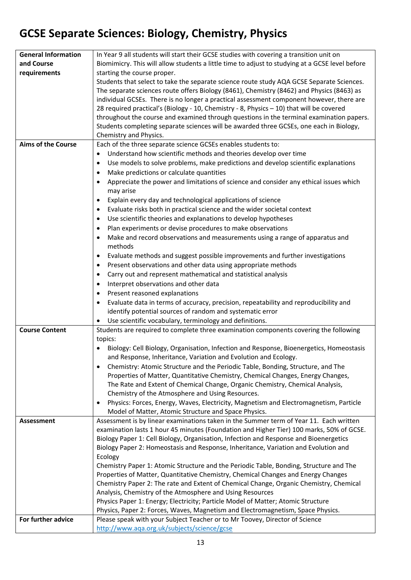## **GCSE Separate Sciences: Biology, Chemistry, Physics**

| <b>General Information</b> | In Year 9 all students will start their GCSE studies with covering a transition unit on            |
|----------------------------|----------------------------------------------------------------------------------------------------|
| and Course                 | Biomimicry. This will allow students a little time to adjust to studying at a GCSE level before    |
| requirements               | starting the course proper.                                                                        |
|                            | Students that select to take the separate science route study AQA GCSE Separate Sciences.          |
|                            | The separate sciences route offers Biology (8461), Chemistry (8462) and Physics (8463) as          |
|                            | individual GCSEs. There is no longer a practical assessment component however, there are           |
|                            | 28 required practical's (Biology - 10, Chemistry - 8, Physics - 10) that will be covered           |
|                            | throughout the course and examined through questions in the terminal examination papers.           |
|                            | Students completing separate sciences will be awarded three GCSEs, one each in Biology,            |
|                            | Chemistry and Physics.                                                                             |
| <b>Aims of the Course</b>  | Each of the three separate science GCSEs enables students to:                                      |
|                            | Understand how scientific methods and theories develop over time<br>$\bullet$                      |
|                            | Use models to solve problems, make predictions and develop scientific explanations<br>$\bullet$    |
|                            | Make predictions or calculate quantities<br>$\bullet$                                              |
|                            | Appreciate the power and limitations of science and consider any ethical issues which              |
|                            | may arise                                                                                          |
|                            | Explain every day and technological applications of science<br>$\bullet$                           |
|                            | Evaluate risks both in practical science and the wider societal context<br>$\bullet$               |
|                            | Use scientific theories and explanations to develop hypotheses<br>$\bullet$                        |
|                            | Plan experiments or devise procedures to make observations<br>$\bullet$                            |
|                            | Make and record observations and measurements using a range of apparatus and<br>$\bullet$          |
|                            | methods                                                                                            |
|                            | Evaluate methods and suggest possible improvements and further investigations<br>$\bullet$         |
|                            | Present observations and other data using appropriate methods<br>$\bullet$                         |
|                            | Carry out and represent mathematical and statistical analysis<br>$\bullet$                         |
|                            | Interpret observations and other data<br>$\bullet$                                                 |
|                            | Present reasoned explanations                                                                      |
|                            | Evaluate data in terms of accuracy, precision, repeatability and reproducibility and<br>$\bullet$  |
|                            | identify potential sources of random and systematic error                                          |
|                            | Use scientific vocabulary, terminology and definitions.<br>$\bullet$                               |
| <b>Course Content</b>      | Students are required to complete three examination components covering the following              |
|                            | topics:                                                                                            |
|                            | Biology: Cell Biology, Organisation, Infection and Response, Bioenergetics, Homeostasis            |
|                            | and Response, Inheritance, Variation and Evolution and Ecology.                                    |
|                            | Chemistry: Atomic Structure and the Periodic Table, Bonding, Structure, and The<br>$\bullet$       |
|                            | Properties of Matter, Quantitative Chemistry, Chemical Changes, Energy Changes,                    |
|                            | The Rate and Extent of Chemical Change, Organic Chemistry, Chemical Analysis,                      |
|                            | Chemistry of the Atmosphere and Using Resources.                                                   |
|                            | Physics: Forces, Energy, Waves, Electricity, Magnetism and Electromagnetism, Particle<br>$\bullet$ |
|                            | Model of Matter, Atomic Structure and Space Physics.                                               |
| Assessment                 | Assessment is by linear examinations taken in the Summer term of Year 11. Each written             |
|                            | examination lasts 1 hour 45 minutes (Foundation and Higher Tier) 100 marks, 50% of GCSE.           |
|                            | Biology Paper 1: Cell Biology, Organisation, Infection and Response and Bioenergetics              |
|                            | Biology Paper 2: Homeostasis and Response, Inheritance, Variation and Evolution and                |
|                            | Ecology                                                                                            |
|                            | Chemistry Paper 1: Atomic Structure and the Periodic Table, Bonding, Structure and The             |
|                            | Properties of Matter, Quantitative Chemistry, Chemical Changes and Energy Changes                  |
|                            | Chemistry Paper 2: The rate and Extent of Chemical Change, Organic Chemistry, Chemical             |
|                            | Analysis, Chemistry of the Atmosphere and Using Resources                                          |
|                            | Physics Paper 1: Energy; Electricity; Particle Model of Matter; Atomic Structure                   |
|                            | Physics, Paper 2: Forces, Waves, Magnetism and Electromagnetism, Space Physics.                    |
| For further advice         | Please speak with your Subject Teacher or to Mr Toovey, Director of Science                        |
|                            | http://www.aqa.org.uk/subjects/science/gcse                                                        |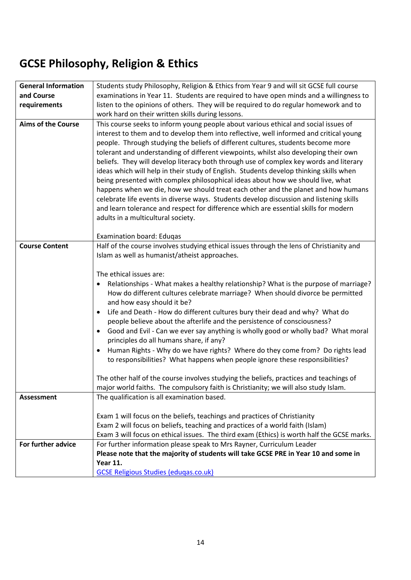## **GCSE Philosophy, Religion & Ethics**

| <b>General Information</b> | Students study Philosophy, Religion & Ethics from Year 9 and will sit GCSE full course         |
|----------------------------|------------------------------------------------------------------------------------------------|
| and Course                 | examinations in Year 11. Students are required to have open minds and a willingness to         |
| requirements               | listen to the opinions of others. They will be required to do regular homework and to          |
|                            | work hard on their written skills during lessons.                                              |
| <b>Aims of the Course</b>  | This course seeks to inform young people about various ethical and social issues of            |
|                            | interest to them and to develop them into reflective, well informed and critical young         |
|                            | people. Through studying the beliefs of different cultures, students become more               |
|                            | tolerant and understanding of different viewpoints, whilst also developing their own           |
|                            | beliefs. They will develop literacy both through use of complex key words and literary         |
|                            | ideas which will help in their study of English. Students develop thinking skills when         |
|                            | being presented with complex philosophical ideas about how we should live, what                |
|                            | happens when we die, how we should treat each other and the planet and how humans              |
|                            | celebrate life events in diverse ways. Students develop discussion and listening skills        |
|                            | and learn tolerance and respect for difference which are essential skills for modern           |
|                            | adults in a multicultural society.                                                             |
|                            |                                                                                                |
|                            | <b>Examination board: Eduqas</b>                                                               |
| <b>Course Content</b>      | Half of the course involves studying ethical issues through the lens of Christianity and       |
|                            | Islam as well as humanist/atheist approaches.                                                  |
|                            |                                                                                                |
|                            | The ethical issues are:                                                                        |
|                            | Relationships - What makes a healthy relationship? What is the purpose of marriage?            |
|                            | How do different cultures celebrate marriage? When should divorce be permitted                 |
|                            | and how easy should it be?                                                                     |
|                            | Life and Death - How do different cultures bury their dead and why? What do<br>٠               |
|                            | people believe about the afterlife and the persistence of consciousness?                       |
|                            | Good and Evil - Can we ever say anything is wholly good or wholly bad? What moral<br>$\bullet$ |
|                            | principles do all humans share, if any?                                                        |
|                            | Human Rights - Why do we have rights? Where do they come from? Do rights lead<br>٠             |
|                            | to responsibilities? What happens when people ignore these responsibilities?                   |
|                            |                                                                                                |
|                            | The other half of the course involves studying the beliefs, practices and teachings of         |
|                            | major world faiths. The compulsory faith is Christianity; we will also study Islam.            |
| <b>Assessment</b>          | The qualification is all examination based.                                                    |
|                            |                                                                                                |
|                            | Exam 1 will focus on the beliefs, teachings and practices of Christianity                      |
|                            | Exam 2 will focus on beliefs, teaching and practices of a world faith (Islam)                  |
|                            | Exam 3 will focus on ethical issues. The third exam (Ethics) is worth half the GCSE marks.     |
| For further advice         | For further information please speak to Mrs Rayner, Curriculum Leader                          |
|                            | Please note that the majority of students will take GCSE PRE in Year 10 and some in            |
|                            | <b>Year 11.</b>                                                                                |
|                            | <b>GCSE Religious Studies (edugas.co.uk)</b>                                                   |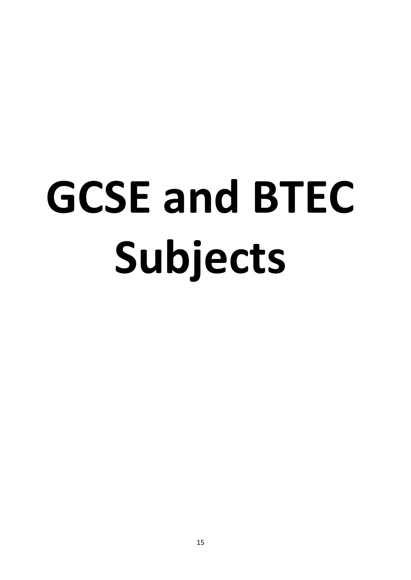# **GCSE and BTEC Subjects**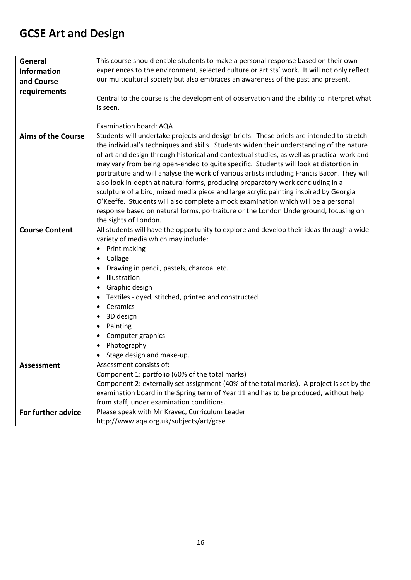## **GCSE Art and Design**

| General                   | This course should enable students to make a personal response based on their own                                               |
|---------------------------|---------------------------------------------------------------------------------------------------------------------------------|
| <b>Information</b>        | experiences to the environment, selected culture or artists' work. It will not only reflect                                     |
| and Course                | our multicultural society but also embraces an awareness of the past and present.                                               |
| requirements              |                                                                                                                                 |
|                           | Central to the course is the development of observation and the ability to interpret what                                       |
|                           | is seen.                                                                                                                        |
|                           |                                                                                                                                 |
|                           | Examination board: AQA                                                                                                          |
| <b>Aims of the Course</b> | Students will undertake projects and design briefs. These briefs are intended to stretch                                        |
|                           | the individual's techniques and skills. Students widen their understanding of the nature                                        |
|                           | of art and design through historical and contextual studies, as well as practical work and                                      |
|                           | may vary from being open-ended to quite specific. Students will look at distortion in                                           |
|                           | portraiture and will analyse the work of various artists including Francis Bacon. They will                                     |
|                           | also look in-depth at natural forms, producing preparatory work concluding in a                                                 |
|                           | sculpture of a bird, mixed media piece and large acrylic painting inspired by Georgia                                           |
|                           | O'Keeffe. Students will also complete a mock examination which will be a personal                                               |
|                           | response based on natural forms, portraiture or the London Underground, focusing on                                             |
|                           | the sights of London.                                                                                                           |
| <b>Course Content</b>     | All students will have the opportunity to explore and develop their ideas through a wide<br>variety of media which may include: |
|                           | Print making                                                                                                                    |
|                           | Collage                                                                                                                         |
|                           | Drawing in pencil, pastels, charcoal etc.<br>٠                                                                                  |
|                           | Illustration                                                                                                                    |
|                           | Graphic design                                                                                                                  |
|                           | Textiles - dyed, stitched, printed and constructed<br>٠                                                                         |
|                           | Ceramics                                                                                                                        |
|                           | 3D design                                                                                                                       |
|                           | Painting<br>٠                                                                                                                   |
|                           | Computer graphics                                                                                                               |
|                           | Photography                                                                                                                     |
|                           | Stage design and make-up.                                                                                                       |
| Assessment                | Assessment consists of:                                                                                                         |
|                           | Component 1: portfolio (60% of the total marks)                                                                                 |
|                           | Component 2: externally set assignment (40% of the total marks). A project is set by the                                        |
|                           | examination board in the Spring term of Year 11 and has to be produced, without help                                            |
|                           | from staff, under examination conditions.                                                                                       |
| For further advice        | Please speak with Mr Kravec, Curriculum Leader                                                                                  |
|                           | http://www.aqa.org.uk/subjects/art/gcse                                                                                         |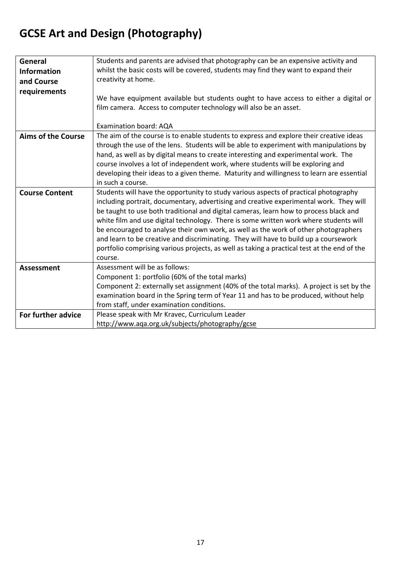## **GCSE Art and Design (Photography)**

| General                   | Students and parents are advised that photography can be an expensive activity and          |
|---------------------------|---------------------------------------------------------------------------------------------|
| <b>Information</b>        | whilst the basic costs will be covered, students may find they want to expand their         |
| and Course                | creativity at home.                                                                         |
| requirements              |                                                                                             |
|                           | We have equipment available but students ought to have access to either a digital or        |
|                           | film camera. Access to computer technology will also be an asset.                           |
|                           |                                                                                             |
|                           | Examination board: AQA                                                                      |
| <b>Aims of the Course</b> | The aim of the course is to enable students to express and explore their creative ideas     |
|                           | through the use of the lens. Students will be able to experiment with manipulations by      |
|                           | hand, as well as by digital means to create interesting and experimental work. The          |
|                           | course involves a lot of independent work, where students will be exploring and             |
|                           | developing their ideas to a given theme. Maturity and willingness to learn are essential    |
|                           | in such a course.                                                                           |
| <b>Course Content</b>     | Students will have the opportunity to study various aspects of practical photography        |
|                           | including portrait, documentary, advertising and creative experimental work. They will      |
|                           | be taught to use both traditional and digital cameras, learn how to process black and       |
|                           |                                                                                             |
|                           | white film and use digital technology. There is some written work where students will       |
|                           | be encouraged to analyse their own work, as well as the work of other photographers         |
|                           | and learn to be creative and discriminating. They will have to build up a coursework        |
|                           | portfolio comprising various projects, as well as taking a practical test at the end of the |
|                           | course.                                                                                     |
| Assessment                | Assessment will be as follows:                                                              |
|                           | Component 1: portfolio (60% of the total marks)                                             |
|                           | Component 2: externally set assignment (40% of the total marks). A project is set by the    |
|                           | examination board in the Spring term of Year 11 and has to be produced, without help        |
|                           | from staff, under examination conditions.                                                   |
| For further advice        | Please speak with Mr Kravec, Curriculum Leader                                              |
|                           | http://www.aqa.org.uk/subjects/photography/gcse                                             |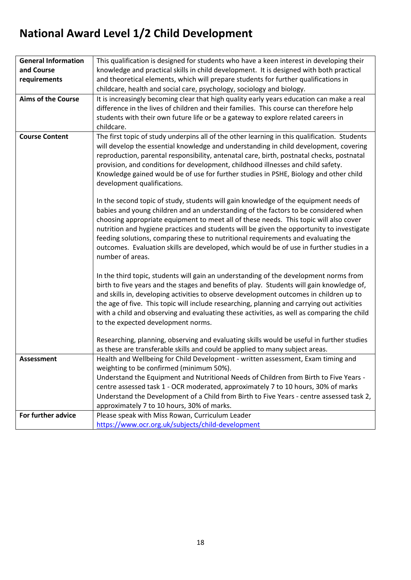## **National Award Level 1/2 Child Development**

| <b>General Information</b> | This qualification is designed for students who have a keen interest in developing their                                                                                                                                                                                                                                                                                                                                                                                                                       |
|----------------------------|----------------------------------------------------------------------------------------------------------------------------------------------------------------------------------------------------------------------------------------------------------------------------------------------------------------------------------------------------------------------------------------------------------------------------------------------------------------------------------------------------------------|
| and Course                 | knowledge and practical skills in child development. It is designed with both practical                                                                                                                                                                                                                                                                                                                                                                                                                        |
| requirements               | and theoretical elements, which will prepare students for further qualifications in                                                                                                                                                                                                                                                                                                                                                                                                                            |
|                            | childcare, health and social care, psychology, sociology and biology.                                                                                                                                                                                                                                                                                                                                                                                                                                          |
| <b>Aims of the Course</b>  | It is increasingly becoming clear that high quality early years education can make a real                                                                                                                                                                                                                                                                                                                                                                                                                      |
|                            | difference in the lives of children and their families. This course can therefore help                                                                                                                                                                                                                                                                                                                                                                                                                         |
|                            | students with their own future life or be a gateway to explore related careers in                                                                                                                                                                                                                                                                                                                                                                                                                              |
|                            | childcare.                                                                                                                                                                                                                                                                                                                                                                                                                                                                                                     |
| <b>Course Content</b>      | The first topic of study underpins all of the other learning in this qualification. Students<br>will develop the essential knowledge and understanding in child development, covering<br>reproduction, parental responsibility, antenatal care, birth, postnatal checks, postnatal<br>provision, and conditions for development, childhood illnesses and child safety.<br>Knowledge gained would be of use for further studies in PSHE, Biology and other child                                                |
|                            | development qualifications.<br>In the second topic of study, students will gain knowledge of the equipment needs of<br>babies and young children and an understanding of the factors to be considered when<br>choosing appropriate equipment to meet all of these needs. This topic will also cover<br>nutrition and hygiene practices and students will be given the opportunity to investigate<br>feeding solutions, comparing these to nutritional requirements and evaluating the                          |
|                            | outcomes. Evaluation skills are developed, which would be of use in further studies in a<br>number of areas.                                                                                                                                                                                                                                                                                                                                                                                                   |
|                            | In the third topic, students will gain an understanding of the development norms from<br>birth to five years and the stages and benefits of play. Students will gain knowledge of,<br>and skills in, developing activities to observe development outcomes in children up to<br>the age of five. This topic will include researching, planning and carrying out activities<br>with a child and observing and evaluating these activities, as well as comparing the child<br>to the expected development norms. |
|                            | Researching, planning, observing and evaluating skills would be useful in further studies<br>as these are transferable skills and could be applied to many subject areas.                                                                                                                                                                                                                                                                                                                                      |
| <b>Assessment</b>          | Health and Wellbeing for Child Development - written assessment, Exam timing and<br>weighting to be confirmed (minimum 50%).                                                                                                                                                                                                                                                                                                                                                                                   |
|                            | Understand the Equipment and Nutritional Needs of Children from Birth to Five Years -                                                                                                                                                                                                                                                                                                                                                                                                                          |
|                            | centre assessed task 1 - OCR moderated, approximately 7 to 10 hours, 30% of marks                                                                                                                                                                                                                                                                                                                                                                                                                              |
|                            | Understand the Development of a Child from Birth to Five Years - centre assessed task 2,                                                                                                                                                                                                                                                                                                                                                                                                                       |
|                            | approximately 7 to 10 hours, 30% of marks.                                                                                                                                                                                                                                                                                                                                                                                                                                                                     |
| For further advice         | Please speak with Miss Rowan, Curriculum Leader                                                                                                                                                                                                                                                                                                                                                                                                                                                                |
|                            | https://www.ocr.org.uk/subjects/child-development                                                                                                                                                                                                                                                                                                                                                                                                                                                              |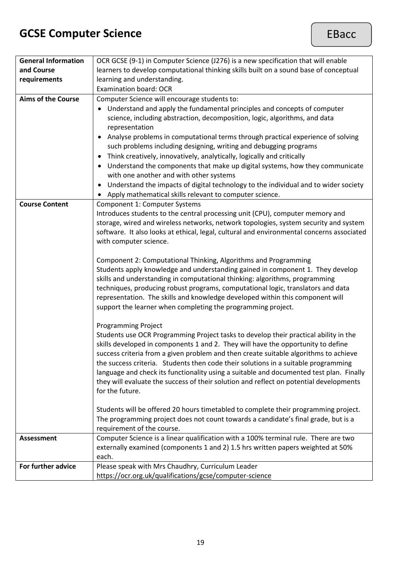## **GCSE Computer Science**

| <b>General Information</b> | OCR GCSE (9-1) in Computer Science (J276) is a new specification that will enable                |
|----------------------------|--------------------------------------------------------------------------------------------------|
| and Course                 | learners to develop computational thinking skills built on a sound base of conceptual            |
| requirements               | learning and understanding.                                                                      |
|                            | <b>Examination board: OCR</b>                                                                    |
| <b>Aims of the Course</b>  | Computer Science will encourage students to:                                                     |
|                            | Understand and apply the fundamental principles and concepts of computer                         |
|                            | science, including abstraction, decomposition, logic, algorithms, and data                       |
|                            | representation                                                                                   |
|                            | Analyse problems in computational terms through practical experience of solving                  |
|                            |                                                                                                  |
|                            | such problems including designing, writing and debugging programs                                |
|                            | Think creatively, innovatively, analytically, logically and critically                           |
|                            | Understand the components that make up digital systems, how they communicate                     |
|                            | with one another and with other systems                                                          |
|                            | Understand the impacts of digital technology to the individual and to wider society<br>$\bullet$ |
|                            | Apply mathematical skills relevant to computer science.                                          |
| <b>Course Content</b>      | Component 1: Computer Systems                                                                    |
|                            | Introduces students to the central processing unit (CPU), computer memory and                    |
|                            | storage, wired and wireless networks, network topologies, system security and system             |
|                            | software. It also looks at ethical, legal, cultural and environmental concerns associated        |
|                            | with computer science.                                                                           |
|                            |                                                                                                  |
|                            | Component 2: Computational Thinking, Algorithms and Programming                                  |
|                            | Students apply knowledge and understanding gained in component 1. They develop                   |
|                            |                                                                                                  |
|                            | skills and understanding in computational thinking: algorithms, programming                      |
|                            | techniques, producing robust programs, computational logic, translators and data                 |
|                            | representation. The skills and knowledge developed within this component will                    |
|                            | support the learner when completing the programming project.                                     |
|                            |                                                                                                  |
|                            | <b>Programming Project</b>                                                                       |
|                            | Students use OCR Programming Project tasks to develop their practical ability in the             |
|                            | skills developed in components 1 and 2. They will have the opportunity to define                 |
|                            | success criteria from a given problem and then create suitable algorithms to achieve             |
|                            | the success criteria. Students then code their solutions in a suitable programming               |
|                            | language and check its functionality using a suitable and documented test plan. Finally          |
|                            | they will evaluate the success of their solution and reflect on potential developments           |
|                            | for the future.                                                                                  |
|                            |                                                                                                  |
|                            | Students will be offered 20 hours timetabled to complete their programming project.              |
|                            | The programming project does not count towards a candidate's final grade, but is a               |
|                            | requirement of the course.                                                                       |
| <b>Assessment</b>          | Computer Science is a linear qualification with a 100% terminal rule. There are two              |
|                            |                                                                                                  |
|                            | externally examined (components 1 and 2) 1.5 hrs written papers weighted at 50%                  |
|                            | each.                                                                                            |
| For further advice         | Please speak with Mrs Chaudhry, Curriculum Leader                                                |
|                            | https://ocr.org.uk/qualifications/gcse/computer-science                                          |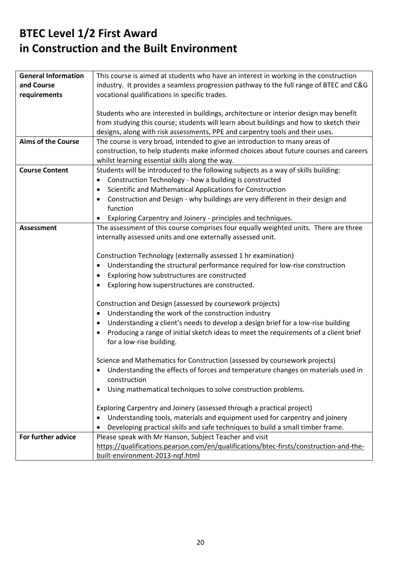### **BTEC Level 1/2 First Award in Construction and the Built Environment**

| <b>General Information</b> | This course is aimed at students who have an interest in working in the construction              |
|----------------------------|---------------------------------------------------------------------------------------------------|
| and Course                 | industry. It provides a seamless progression pathway to the full range of BTEC and C&G            |
| requirements               | vocational qualifications in specific trades.                                                     |
|                            |                                                                                                   |
|                            | Students who are interested in buildings, architecture or interior design may benefit             |
|                            | from studying this course; students will learn about buildings and how to sketch their            |
|                            | designs, along with risk assessments, PPE and carpentry tools and their uses.                     |
| <b>Aims of the Course</b>  | The course is very broad, intended to give an introduction to many areas of                       |
|                            | construction, to help students make informed choices about future courses and careers             |
|                            | whilst learning essential skills along the way.                                                   |
| <b>Course Content</b>      | Students will be introduced to the following subjects as a way of skills building:                |
|                            | Construction Technology - how a building is constructed<br>$\bullet$                              |
|                            | Scientific and Mathematical Applications for Construction<br>٠                                    |
|                            | Construction and Design - why buildings are very different in their design and<br>$\bullet$       |
|                            | function                                                                                          |
|                            | Exploring Carpentry and Joinery - principles and techniques.                                      |
| <b>Assessment</b>          | The assessment of this course comprises four equally weighted units. There are three              |
|                            | internally assessed units and one externally assessed unit.                                       |
|                            |                                                                                                   |
|                            | Construction Technology (externally assessed 1 hr examination)                                    |
|                            | Understanding the structural performance required for low-rise construction                       |
|                            | $\bullet$                                                                                         |
|                            | Exploring how substructures are constructed<br>٠                                                  |
|                            | Exploring how superstructures are constructed.<br>٠                                               |
|                            | Construction and Design (assessed by coursework projects)                                         |
|                            | Understanding the work of the construction industry<br>٠                                          |
|                            | Understanding a client's needs to develop a design brief for a low-rise building<br>٠             |
|                            | Producing a range of initial sketch ideas to meet the requirements of a client brief<br>$\bullet$ |
|                            | for a low-rise building.                                                                          |
|                            |                                                                                                   |
|                            | Science and Mathematics for Construction (assessed by coursework projects)                        |
|                            | Understanding the effects of forces and temperature changes on materials used in                  |
|                            | construction                                                                                      |
|                            | Using mathematical techniques to solve construction problems.<br>$\bullet$                        |
|                            |                                                                                                   |
|                            | Exploring Carpentry and Joinery (assessed through a practical project)                            |
|                            | Understanding tools, materials and equipment used for carpentry and joinery                       |
|                            | Developing practical skills and safe techniques to build a small timber frame.                    |
| For further advice         | Please speak with Mr Hanson, Subject Teacher and visit                                            |
|                            | https://qualifications.pearson.com/en/qualifications/btec-firsts/construction-and-the-            |
|                            | built-environment-2013-ngf.html                                                                   |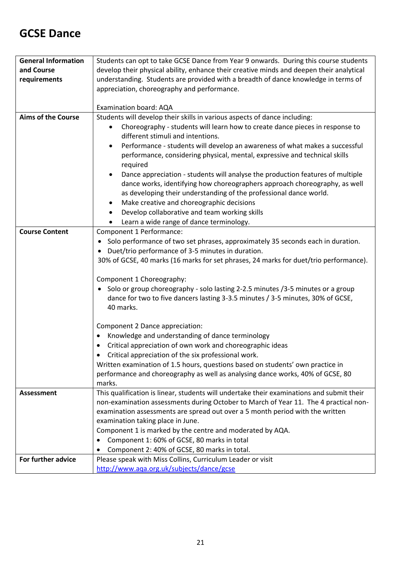#### **GCSE Dance**

| <b>General Information</b> | Students can opt to take GCSE Dance from Year 9 onwards. During this course students                                                                                                                                                                                                         |
|----------------------------|----------------------------------------------------------------------------------------------------------------------------------------------------------------------------------------------------------------------------------------------------------------------------------------------|
| and Course                 | develop their physical ability, enhance their creative minds and deepen their analytical                                                                                                                                                                                                     |
| requirements               | understanding. Students are provided with a breadth of dance knowledge in terms of                                                                                                                                                                                                           |
|                            | appreciation, choreography and performance.                                                                                                                                                                                                                                                  |
|                            |                                                                                                                                                                                                                                                                                              |
|                            | Examination board: AQA                                                                                                                                                                                                                                                                       |
| <b>Aims of the Course</b>  | Students will develop their skills in various aspects of dance including:                                                                                                                                                                                                                    |
|                            | Choreography - students will learn how to create dance pieces in response to<br>different stimuli and intentions.                                                                                                                                                                            |
|                            | Performance - students will develop an awareness of what makes a successful<br>٠<br>performance, considering physical, mental, expressive and technical skills<br>required                                                                                                                   |
|                            | Dance appreciation - students will analyse the production features of multiple<br>dance works, identifying how choreographers approach choreography, as well<br>as developing their understanding of the professional dance world.<br>Make creative and choreographic decisions<br>$\bullet$ |
|                            | Develop collaborative and team working skills                                                                                                                                                                                                                                                |
|                            | Learn a wide range of dance terminology.                                                                                                                                                                                                                                                     |
| <b>Course Content</b>      | Component 1 Performance:                                                                                                                                                                                                                                                                     |
|                            | Solo performance of two set phrases, approximately 35 seconds each in duration.<br>Duet/trio performance of 3-5 minutes in duration.<br>$\bullet$<br>30% of GCSE, 40 marks (16 marks for set phrases, 24 marks for duet/trio performance).                                                   |
|                            | Component 1 Choreography:                                                                                                                                                                                                                                                                    |
|                            | Solo or group choreography - solo lasting 2-2.5 minutes /3-5 minutes or a group<br>dance for two to five dancers lasting 3-3.5 minutes / 3-5 minutes, 30% of GCSE,<br>40 marks.                                                                                                              |
|                            | Component 2 Dance appreciation:                                                                                                                                                                                                                                                              |
|                            | Knowledge and understanding of dance terminology<br>٠                                                                                                                                                                                                                                        |
|                            | Critical appreciation of own work and choreographic ideas<br>$\bullet$                                                                                                                                                                                                                       |
|                            | Critical appreciation of the six professional work.                                                                                                                                                                                                                                          |
|                            | Written examination of 1.5 hours, questions based on students' own practice in                                                                                                                                                                                                               |
|                            | performance and choreography as well as analysing dance works, 40% of GCSE, 80                                                                                                                                                                                                               |
|                            | marks.                                                                                                                                                                                                                                                                                       |
| Assessment                 | This qualification is linear, students will undertake their examinations and submit their<br>non-examination assessments during October to March of Year 11. The 4 practical non-                                                                                                            |
|                            | examination assessments are spread out over a 5 month period with the written                                                                                                                                                                                                                |
|                            | examination taking place in June.                                                                                                                                                                                                                                                            |
|                            | Component 1 is marked by the centre and moderated by AQA.                                                                                                                                                                                                                                    |
|                            | Component 1: 60% of GCSE, 80 marks in total                                                                                                                                                                                                                                                  |
|                            | Component 2: 40% of GCSE, 80 marks in total.                                                                                                                                                                                                                                                 |
| For further advice         | Please speak with Miss Collins, Curriculum Leader or visit                                                                                                                                                                                                                                   |
|                            | http://www.aqa.org.uk/subjects/dance/gcse                                                                                                                                                                                                                                                    |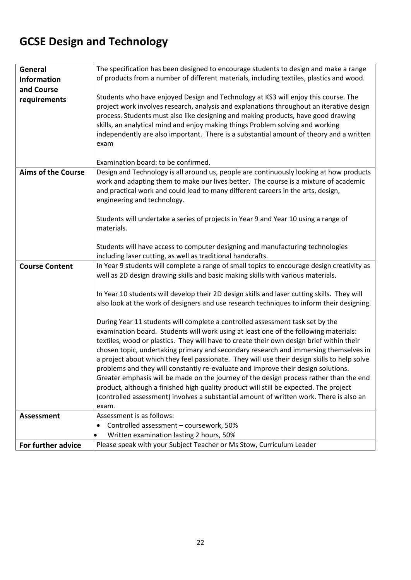## **GCSE Design and Technology**

| General                   | The specification has been designed to encourage students to design and make a range                                                                                                                                                                                                                                                                                                                                                                                                                                                                                                                                                                                                                                                                                                                                                 |
|---------------------------|--------------------------------------------------------------------------------------------------------------------------------------------------------------------------------------------------------------------------------------------------------------------------------------------------------------------------------------------------------------------------------------------------------------------------------------------------------------------------------------------------------------------------------------------------------------------------------------------------------------------------------------------------------------------------------------------------------------------------------------------------------------------------------------------------------------------------------------|
| <b>Information</b>        | of products from a number of different materials, including textiles, plastics and wood.                                                                                                                                                                                                                                                                                                                                                                                                                                                                                                                                                                                                                                                                                                                                             |
| and Course                |                                                                                                                                                                                                                                                                                                                                                                                                                                                                                                                                                                                                                                                                                                                                                                                                                                      |
| requirements              | Students who have enjoyed Design and Technology at KS3 will enjoy this course. The<br>project work involves research, analysis and explanations throughout an iterative design<br>process. Students must also like designing and making products, have good drawing<br>skills, an analytical mind and enjoy making things Problem solving and working<br>independently are also important. There is a substantial amount of theory and a written<br>exam                                                                                                                                                                                                                                                                                                                                                                             |
|                           | Examination board: to be confirmed.                                                                                                                                                                                                                                                                                                                                                                                                                                                                                                                                                                                                                                                                                                                                                                                                  |
| <b>Aims of the Course</b> | Design and Technology is all around us, people are continuously looking at how products<br>work and adapting them to make our lives better. The course is a mixture of academic<br>and practical work and could lead to many different careers in the arts, design,<br>engineering and technology.                                                                                                                                                                                                                                                                                                                                                                                                                                                                                                                                   |
|                           | Students will undertake a series of projects in Year 9 and Year 10 using a range of<br>materials.                                                                                                                                                                                                                                                                                                                                                                                                                                                                                                                                                                                                                                                                                                                                    |
|                           | Students will have access to computer designing and manufacturing technologies<br>including laser cutting, as well as traditional handcrafts.                                                                                                                                                                                                                                                                                                                                                                                                                                                                                                                                                                                                                                                                                        |
| <b>Course Content</b>     | In Year 9 students will complete a range of small topics to encourage design creativity as<br>well as 2D design drawing skills and basic making skills with various materials.                                                                                                                                                                                                                                                                                                                                                                                                                                                                                                                                                                                                                                                       |
|                           | In Year 10 students will develop their 2D design skills and laser cutting skills. They will<br>also look at the work of designers and use research techniques to inform their designing.                                                                                                                                                                                                                                                                                                                                                                                                                                                                                                                                                                                                                                             |
|                           | During Year 11 students will complete a controlled assessment task set by the<br>examination board. Students will work using at least one of the following materials:<br>textiles, wood or plastics. They will have to create their own design brief within their<br>chosen topic, undertaking primary and secondary research and immersing themselves in<br>a project about which they feel passionate. They will use their design skills to help solve<br>problems and they will constantly re-evaluate and improve their design solutions.<br>Greater emphasis will be made on the journey of the design process rather than the end<br>product, although a finished high quality product will still be expected. The project<br>(controlled assessment) involves a substantial amount of written work. There is also an<br>exam. |
| <b>Assessment</b>         | Assessment is as follows:                                                                                                                                                                                                                                                                                                                                                                                                                                                                                                                                                                                                                                                                                                                                                                                                            |
|                           | Controlled assessment - coursework, 50%<br>٠                                                                                                                                                                                                                                                                                                                                                                                                                                                                                                                                                                                                                                                                                                                                                                                         |
|                           | Written examination lasting 2 hours, 50%<br>٠                                                                                                                                                                                                                                                                                                                                                                                                                                                                                                                                                                                                                                                                                                                                                                                        |
| For further advice        | Please speak with your Subject Teacher or Ms Stow, Curriculum Leader                                                                                                                                                                                                                                                                                                                                                                                                                                                                                                                                                                                                                                                                                                                                                                 |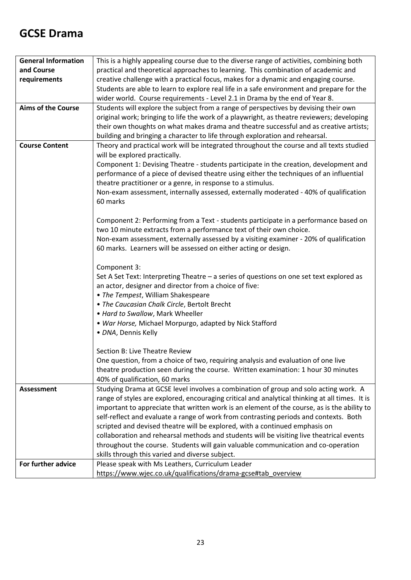#### **GCSE Drama**

| <b>General Information</b> | This is a highly appealing course due to the diverse range of activities, combining both       |
|----------------------------|------------------------------------------------------------------------------------------------|
| and Course                 | practical and theoretical approaches to learning. This combination of academic and             |
| requirements               | creative challenge with a practical focus, makes for a dynamic and engaging course.            |
|                            | Students are able to learn to explore real life in a safe environment and prepare for the      |
|                            | wider world. Course requirements - Level 2.1 in Drama by the end of Year 8.                    |
| <b>Aims of the Course</b>  | Students will explore the subject from a range of perspectives by devising their own           |
|                            | original work; bringing to life the work of a playwright, as theatre reviewers; developing     |
|                            | their own thoughts on what makes drama and theatre successful and as creative artists;         |
|                            | building and bringing a character to life through exploration and rehearsal.                   |
| <b>Course Content</b>      | Theory and practical work will be integrated throughout the course and all texts studied       |
|                            | will be explored practically.                                                                  |
|                            | Component 1: Devising Theatre - students participate in the creation, development and          |
|                            | performance of a piece of devised theatre using either the techniques of an influential        |
|                            | theatre practitioner or a genre, in response to a stimulus.                                    |
|                            | Non-exam assessment, internally assessed, externally moderated - 40% of qualification          |
|                            | 60 marks                                                                                       |
|                            |                                                                                                |
|                            | Component 2: Performing from a Text - students participate in a performance based on           |
|                            | two 10 minute extracts from a performance text of their own choice.                            |
|                            | Non-exam assessment, externally assessed by a visiting examiner - 20% of qualification         |
|                            | 60 marks. Learners will be assessed on either acting or design.                                |
|                            | Component 3:                                                                                   |
|                            | Set A Set Text: Interpreting Theatre - a series of questions on one set text explored as       |
|                            | an actor, designer and director from a choice of five:                                         |
|                            | • The Tempest, William Shakespeare                                                             |
|                            | . The Caucasian Chalk Circle, Bertolt Brecht                                                   |
|                            | • Hard to Swallow, Mark Wheeller                                                               |
|                            | . War Horse, Michael Morpurgo, adapted by Nick Stafford                                        |
|                            | · DNA, Dennis Kelly                                                                            |
|                            |                                                                                                |
|                            | Section B: Live Theatre Review                                                                 |
|                            | One question, from a choice of two, requiring analysis and evaluation of one live              |
|                            | theatre production seen during the course. Written examination: 1 hour 30 minutes              |
|                            | 40% of qualification, 60 marks                                                                 |
| <b>Assessment</b>          | Studying Drama at GCSE level involves a combination of group and solo acting work. A           |
|                            | range of styles are explored, encouraging critical and analytical thinking at all times. It is |
|                            | important to appreciate that written work is an element of the course, as is the ability to    |
|                            | self-reflect and evaluate a range of work from contrasting periods and contexts. Both          |
|                            | scripted and devised theatre will be explored, with a continued emphasis on                    |
|                            | collaboration and rehearsal methods and students will be visiting live theatrical events       |
|                            | throughout the course. Students will gain valuable communication and co-operation              |
|                            | skills through this varied and diverse subject.                                                |
| For further advice         | Please speak with Ms Leathers, Curriculum Leader                                               |
|                            | https://www.wjec.co.uk/qualifications/drama-gcse#tab_overview                                  |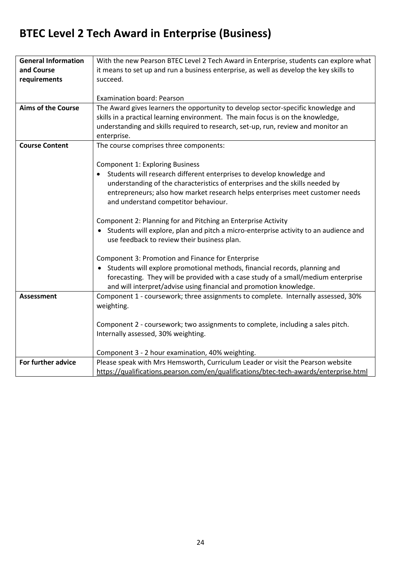## **BTEC Level 2 Tech Award in Enterprise (Business)**

| <b>General Information</b> | With the new Pearson BTEC Level 2 Tech Award in Enterprise, students can explore what   |
|----------------------------|-----------------------------------------------------------------------------------------|
| and Course                 | it means to set up and run a business enterprise, as well as develop the key skills to  |
| requirements               | succeed.                                                                                |
|                            |                                                                                         |
|                            | <b>Examination board: Pearson</b>                                                       |
| <b>Aims of the Course</b>  | The Award gives learners the opportunity to develop sector-specific knowledge and       |
|                            | skills in a practical learning environment. The main focus is on the knowledge,         |
|                            | understanding and skills required to research, set-up, run, review and monitor an       |
|                            | enterprise.                                                                             |
| <b>Course Content</b>      | The course comprises three components:                                                  |
|                            |                                                                                         |
|                            | <b>Component 1: Exploring Business</b>                                                  |
|                            | Students will research different enterprises to develop knowledge and                   |
|                            | understanding of the characteristics of enterprises and the skills needed by            |
|                            | entrepreneurs; also how market research helps enterprises meet customer needs           |
|                            | and understand competitor behaviour.                                                    |
|                            |                                                                                         |
|                            | Component 2: Planning for and Pitching an Enterprise Activity                           |
|                            | • Students will explore, plan and pitch a micro-enterprise activity to an audience and  |
|                            | use feedback to review their business plan.                                             |
|                            |                                                                                         |
|                            | Component 3: Promotion and Finance for Enterprise                                       |
|                            | Students will explore promotional methods, financial records, planning and<br>$\bullet$ |
|                            | forecasting. They will be provided with a case study of a small/medium enterprise       |
|                            | and will interpret/advise using financial and promotion knowledge.                      |
| <b>Assessment</b>          | Component 1 - coursework; three assignments to complete. Internally assessed, 30%       |
|                            | weighting.                                                                              |
|                            |                                                                                         |
|                            | Component 2 - coursework; two assignments to complete, including a sales pitch.         |
|                            | Internally assessed, 30% weighting.                                                     |
|                            |                                                                                         |
|                            | Component 3 - 2 hour examination, 40% weighting.                                        |
| For further advice         | Please speak with Mrs Hemsworth, Curriculum Leader or visit the Pearson website         |
|                            | https://qualifications.pearson.com/en/qualifications/btec-tech-awards/enterprise.html   |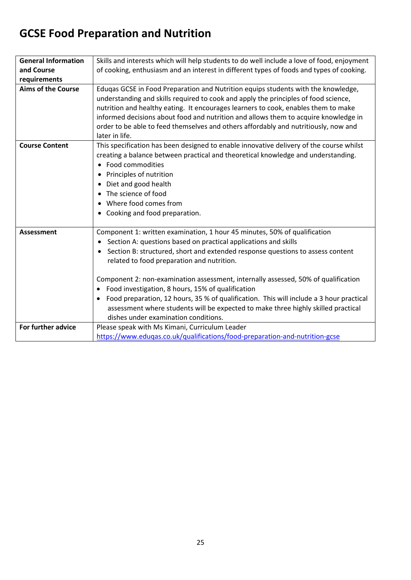## **GCSE Food Preparation and Nutrition**

| <b>General Information</b> | Skills and interests which will help students to do well include a love of food, enjoyment           |
|----------------------------|------------------------------------------------------------------------------------------------------|
| and Course                 | of cooking, enthusiasm and an interest in different types of foods and types of cooking.             |
| requirements               |                                                                                                      |
| <b>Aims of the Course</b>  | Eduqas GCSE in Food Preparation and Nutrition equips students with the knowledge,                    |
|                            | understanding and skills required to cook and apply the principles of food science,                  |
|                            | nutrition and healthy eating. It encourages learners to cook, enables them to make                   |
|                            | informed decisions about food and nutrition and allows them to acquire knowledge in                  |
|                            | order to be able to feed themselves and others affordably and nutritiously, now and                  |
|                            | later in life.                                                                                       |
| <b>Course Content</b>      | This specification has been designed to enable innovative delivery of the course whilst              |
|                            | creating a balance between practical and theoretical knowledge and understanding.                    |
|                            | Food commodities<br>$\bullet$                                                                        |
|                            | Principles of nutrition<br>$\bullet$                                                                 |
|                            | Diet and good health<br>$\bullet$                                                                    |
|                            | The science of food<br>$\bullet$                                                                     |
|                            | Where food comes from<br>$\bullet$                                                                   |
|                            | Cooking and food preparation.<br>$\bullet$                                                           |
|                            |                                                                                                      |
| <b>Assessment</b>          | Component 1: written examination, 1 hour 45 minutes, 50% of qualification                            |
|                            | Section A: questions based on practical applications and skills<br>$\bullet$                         |
|                            | Section B: structured, short and extended response questions to assess content<br>$\bullet$          |
|                            | related to food preparation and nutrition.                                                           |
|                            |                                                                                                      |
|                            | Component 2: non-examination assessment, internally assessed, 50% of qualification                   |
|                            | Food investigation, 8 hours, 15% of qualification<br>$\bullet$                                       |
|                            | Food preparation, 12 hours, 35 % of qualification. This will include a 3 hour practical<br>$\bullet$ |
|                            | assessment where students will be expected to make three highly skilled practical                    |
|                            | dishes under examination conditions.                                                                 |
| For further advice         | Please speak with Ms Kimani, Curriculum Leader                                                       |
|                            | https://www.eduqas.co.uk/qualifications/food-preparation-and-nutrition-gcse                          |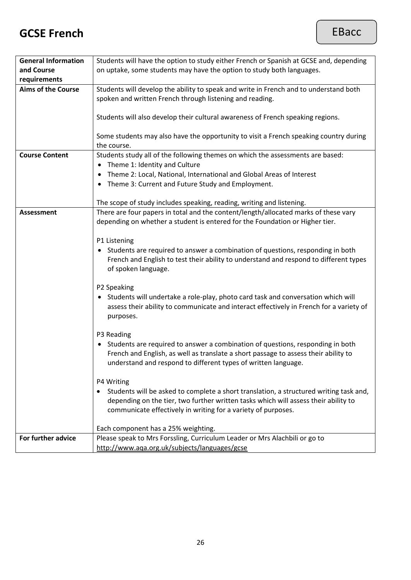#### **GCSE French**

| <b>General Information</b> | Students will have the option to study either French or Spanish at GCSE and, depending      |
|----------------------------|---------------------------------------------------------------------------------------------|
| and Course                 | on uptake, some students may have the option to study both languages.                       |
| requirements               |                                                                                             |
| <b>Aims of the Course</b>  | Students will develop the ability to speak and write in French and to understand both       |
|                            |                                                                                             |
|                            | spoken and written French through listening and reading.                                    |
|                            |                                                                                             |
|                            | Students will also develop their cultural awareness of French speaking regions.             |
|                            |                                                                                             |
|                            | Some students may also have the opportunity to visit a French speaking country during       |
|                            | the course.                                                                                 |
|                            |                                                                                             |
| <b>Course Content</b>      | Students study all of the following themes on which the assessments are based:              |
|                            | Theme 1: Identity and Culture<br>$\bullet$                                                  |
|                            | Theme 2: Local, National, International and Global Areas of Interest<br>$\bullet$           |
|                            | Theme 3: Current and Future Study and Employment.<br>٠                                      |
|                            |                                                                                             |
|                            | The scope of study includes speaking, reading, writing and listening.                       |
| <b>Assessment</b>          |                                                                                             |
|                            | There are four papers in total and the content/length/allocated marks of these vary         |
|                            | depending on whether a student is entered for the Foundation or Higher tier.                |
|                            |                                                                                             |
|                            | P1 Listening                                                                                |
|                            | Students are required to answer a combination of questions, responding in both<br>$\bullet$ |
|                            | French and English to test their ability to understand and respond to different types       |
|                            | of spoken language.                                                                         |
|                            |                                                                                             |
|                            | P2 Speaking                                                                                 |
|                            |                                                                                             |
|                            | Students will undertake a role-play, photo card task and conversation which will            |
|                            | assess their ability to communicate and interact effectively in French for a variety of     |
|                            | purposes.                                                                                   |
|                            |                                                                                             |
|                            | P3 Reading                                                                                  |
|                            | Students are required to answer a combination of questions, responding in both<br>$\bullet$ |
|                            | French and English, as well as translate a short passage to assess their ability to         |
|                            | understand and respond to different types of written language.                              |
|                            |                                                                                             |
|                            | P4 Writing                                                                                  |
|                            | Students will be asked to complete a short translation, a structured writing task and,      |
|                            |                                                                                             |
|                            | depending on the tier, two further written tasks which will assess their ability to         |
|                            | communicate effectively in writing for a variety of purposes.                               |
|                            |                                                                                             |
|                            | Each component has a 25% weighting.                                                         |
| For further advice         | Please speak to Mrs Forssling, Curriculum Leader or Mrs Alachbili or go to                  |
|                            | http://www.aqa.org.uk/subjects/languages/gcse                                               |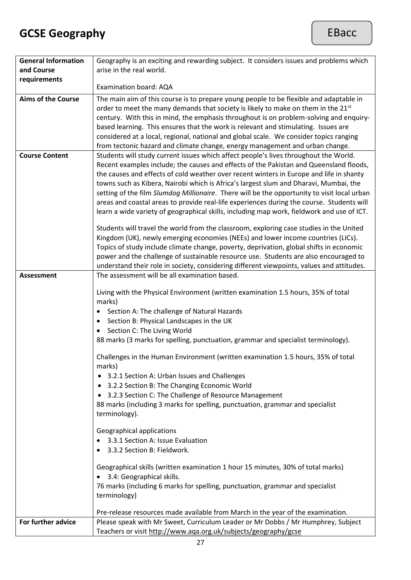## **GCSE Geography**

| <b>General Information</b> | Geography is an exciting and rewarding subject. It considers issues and problems which                                                                                                                                                                                                                                                                                                                                                                                                                                                                                                                                                                                                                                                                                                                                                                                                                                                                                                                                         |
|----------------------------|--------------------------------------------------------------------------------------------------------------------------------------------------------------------------------------------------------------------------------------------------------------------------------------------------------------------------------------------------------------------------------------------------------------------------------------------------------------------------------------------------------------------------------------------------------------------------------------------------------------------------------------------------------------------------------------------------------------------------------------------------------------------------------------------------------------------------------------------------------------------------------------------------------------------------------------------------------------------------------------------------------------------------------|
| and Course                 | arise in the real world.                                                                                                                                                                                                                                                                                                                                                                                                                                                                                                                                                                                                                                                                                                                                                                                                                                                                                                                                                                                                       |
| requirements               |                                                                                                                                                                                                                                                                                                                                                                                                                                                                                                                                                                                                                                                                                                                                                                                                                                                                                                                                                                                                                                |
|                            | Examination board: AQA                                                                                                                                                                                                                                                                                                                                                                                                                                                                                                                                                                                                                                                                                                                                                                                                                                                                                                                                                                                                         |
| <b>Aims of the Course</b>  | The main aim of this course is to prepare young people to be flexible and adaptable in<br>order to meet the many demands that society is likely to make on them in the 21 <sup>st</sup><br>century. With this in mind, the emphasis throughout is on problem-solving and enquiry-<br>based learning. This ensures that the work is relevant and stimulating. Issues are<br>considered at a local, regional, national and global scale. We consider topics ranging<br>from tectonic hazard and climate change, energy management and urban change.                                                                                                                                                                                                                                                                                                                                                                                                                                                                              |
| <b>Course Content</b>      | Students will study current issues which affect people's lives throughout the World.<br>Recent examples include; the causes and effects of the Pakistan and Queensland floods,<br>the causes and effects of cold weather over recent winters in Europe and life in shanty<br>towns such as Kibera, Nairobi which is Africa's largest slum and Dharavi, Mumbai, the<br>setting of the film Slumdog Millionaire. There will be the opportunity to visit local urban<br>areas and coastal areas to provide real-life experiences during the course. Students will<br>learn a wide variety of geographical skills, including map work, fieldwork and use of ICT.<br>Students will travel the world from the classroom, exploring case studies in the United<br>Kingdom (UK), newly emerging economies (NEEs) and lower income countries (LICs).<br>Topics of study include climate change, poverty, deprivation, global shifts in economic<br>power and the challenge of sustainable resource use. Students are also encouraged to |
|                            | understand their role in society, considering different viewpoints, values and attitudes.                                                                                                                                                                                                                                                                                                                                                                                                                                                                                                                                                                                                                                                                                                                                                                                                                                                                                                                                      |
| <b>Assessment</b>          | The assessment will be all examination based.                                                                                                                                                                                                                                                                                                                                                                                                                                                                                                                                                                                                                                                                                                                                                                                                                                                                                                                                                                                  |
|                            | Living with the Physical Environment (written examination 1.5 hours, 35% of total<br>marks)<br>Section A: The challenge of Natural Hazards<br>Section B: Physical Landscapes in the UK<br>Section C: The Living World<br>$\bullet$<br>88 marks (3 marks for spelling, punctuation, grammar and specialist terminology).                                                                                                                                                                                                                                                                                                                                                                                                                                                                                                                                                                                                                                                                                                        |
|                            | Challenges in the Human Environment (written examination 1.5 hours, 35% of total<br>marks)                                                                                                                                                                                                                                                                                                                                                                                                                                                                                                                                                                                                                                                                                                                                                                                                                                                                                                                                     |
|                            | 3.2.1 Section A: Urban Issues and Challenges<br>$\bullet$                                                                                                                                                                                                                                                                                                                                                                                                                                                                                                                                                                                                                                                                                                                                                                                                                                                                                                                                                                      |
|                            | 3.2.2 Section B: The Changing Economic World<br>$\bullet$                                                                                                                                                                                                                                                                                                                                                                                                                                                                                                                                                                                                                                                                                                                                                                                                                                                                                                                                                                      |
|                            | 3.2.3 Section C: The Challenge of Resource Management<br>$\bullet$                                                                                                                                                                                                                                                                                                                                                                                                                                                                                                                                                                                                                                                                                                                                                                                                                                                                                                                                                             |
|                            | 88 marks (including 3 marks for spelling, punctuation, grammar and specialist<br>terminology).                                                                                                                                                                                                                                                                                                                                                                                                                                                                                                                                                                                                                                                                                                                                                                                                                                                                                                                                 |
|                            | Geographical applications                                                                                                                                                                                                                                                                                                                                                                                                                                                                                                                                                                                                                                                                                                                                                                                                                                                                                                                                                                                                      |
|                            | 3.3.1 Section A: Issue Evaluation                                                                                                                                                                                                                                                                                                                                                                                                                                                                                                                                                                                                                                                                                                                                                                                                                                                                                                                                                                                              |
|                            | 3.3.2 Section B: Fieldwork.                                                                                                                                                                                                                                                                                                                                                                                                                                                                                                                                                                                                                                                                                                                                                                                                                                                                                                                                                                                                    |
|                            | Geographical skills (written examination 1 hour 15 minutes, 30% of total marks)<br>3.4: Geographical skills.<br>76 marks (including 6 marks for spelling, punctuation, grammar and specialist<br>terminology)                                                                                                                                                                                                                                                                                                                                                                                                                                                                                                                                                                                                                                                                                                                                                                                                                  |
|                            | Pre-release resources made available from March in the year of the examination.                                                                                                                                                                                                                                                                                                                                                                                                                                                                                                                                                                                                                                                                                                                                                                                                                                                                                                                                                |
| For further advice         | Please speak with Mr Sweet, Curriculum Leader or Mr Dobbs / Mr Humphrey, Subject<br>Teachers or visit http://www.aga.org.uk/subjects/geography/gcse                                                                                                                                                                                                                                                                                                                                                                                                                                                                                                                                                                                                                                                                                                                                                                                                                                                                            |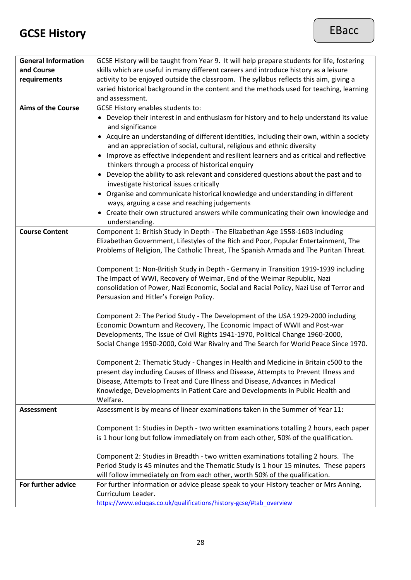#### **GCSE History**

| <b>General Information</b> | GCSE History will be taught from Year 9. It will help prepare students for life, fostering |
|----------------------------|--------------------------------------------------------------------------------------------|
| and Course                 | skills which are useful in many different careers and introduce history as a leisure       |
| requirements               | activity to be enjoyed outside the classroom. The syllabus reflects this aim, giving a     |
|                            | varied historical background in the content and the methods used for teaching, learning    |
|                            | and assessment.                                                                            |
| <b>Aims of the Course</b>  | <b>GCSE History enables students to:</b>                                                   |
|                            | • Develop their interest in and enthusiasm for history and to help understand its value    |
|                            | and significance                                                                           |
|                            | • Acquire an understanding of different identities, including their own, within a society  |
|                            | and an appreciation of social, cultural, religious and ethnic diversity                    |
|                            | Improve as effective independent and resilient learners and as critical and reflective     |
|                            | thinkers through a process of historical enquiry                                           |
|                            | Develop the ability to ask relevant and considered questions about the past and to         |
|                            | investigate historical issues critically                                                   |
|                            | Organise and communicate historical knowledge and understanding in different               |
|                            | ways, arguing a case and reaching judgements                                               |
|                            | Create their own structured answers while communicating their own knowledge and            |
|                            | understanding.                                                                             |
| <b>Course Content</b>      | Component 1: British Study in Depth - The Elizabethan Age 1558-1603 including              |
|                            | Elizabethan Government, Lifestyles of the Rich and Poor, Popular Entertainment, The        |
|                            | Problems of Religion, The Catholic Threat, The Spanish Armada and The Puritan Threat.      |
|                            |                                                                                            |
|                            | Component 1: Non-British Study in Depth - Germany in Transition 1919-1939 including        |
|                            | The Impact of WWI, Recovery of Weimar, End of the Weimar Republic, Nazi                    |
|                            | consolidation of Power, Nazi Economic, Social and Racial Policy, Nazi Use of Terror and    |
|                            | Persuasion and Hitler's Foreign Policy.                                                    |
|                            |                                                                                            |
|                            | Component 2: The Period Study - The Development of the USA 1929-2000 including             |
|                            | Economic Downturn and Recovery, The Economic Impact of WWII and Post-war                   |
|                            | Developments, The Issue of Civil Rights 1941-1970, Political Change 1960-2000,             |
|                            | Social Change 1950-2000, Cold War Rivalry and The Search for World Peace Since 1970.       |
|                            |                                                                                            |
|                            | Component 2: Thematic Study - Changes in Health and Medicine in Britain c500 to the        |
|                            | present day including Causes of Illness and Disease, Attempts to Prevent Illness and       |
|                            | Disease, Attempts to Treat and Cure Illness and Disease, Advances in Medical               |
|                            | Knowledge, Developments in Patient Care and Developments in Public Health and              |
|                            | Welfare.                                                                                   |
| <b>Assessment</b>          | Assessment is by means of linear examinations taken in the Summer of Year 11:              |
|                            |                                                                                            |
|                            | Component 1: Studies in Depth - two written examinations totalling 2 hours, each paper     |
|                            | is 1 hour long but follow immediately on from each other, 50% of the qualification.        |
|                            |                                                                                            |
|                            | Component 2: Studies in Breadth - two written examinations totalling 2 hours. The          |
|                            | Period Study is 45 minutes and the Thematic Study is 1 hour 15 minutes. These papers       |
|                            | will follow immediately on from each other, worth 50% of the qualification.                |
| For further advice         | For further information or advice please speak to your History teacher or Mrs Anning,      |
|                            | Curriculum Leader.                                                                         |
|                            | https://www.eduqas.co.uk/qualifications/history-gcse/#tab_overview                         |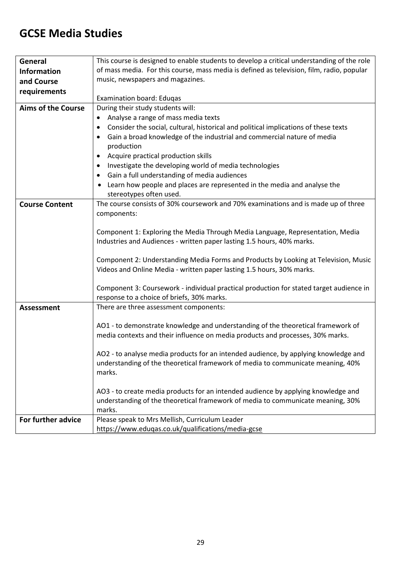#### **GCSE Media Studies**

| General                   | This course is designed to enable students to develop a critical understanding of the role |
|---------------------------|--------------------------------------------------------------------------------------------|
| <b>Information</b>        | of mass media. For this course, mass media is defined as television, film, radio, popular  |
| and Course                | music, newspapers and magazines.                                                           |
| requirements              |                                                                                            |
|                           | Examination board: Eduqas                                                                  |
| <b>Aims of the Course</b> | During their study students will:                                                          |
|                           | Analyse a range of mass media texts                                                        |
|                           | Consider the social, cultural, historical and political implications of these texts<br>٠   |
|                           | Gain a broad knowledge of the industrial and commercial nature of media                    |
|                           | production                                                                                 |
|                           | Acquire practical production skills<br>٠                                                   |
|                           | Investigate the developing world of media technologies<br>$\bullet$                        |
|                           | Gain a full understanding of media audiences<br>٠                                          |
|                           | Learn how people and places are represented in the media and analyse the                   |
|                           | stereotypes often used.                                                                    |
| <b>Course Content</b>     | The course consists of 30% coursework and 70% examinations and is made up of three         |
|                           | components:                                                                                |
|                           |                                                                                            |
|                           | Component 1: Exploring the Media Through Media Language, Representation, Media             |
|                           | Industries and Audiences - written paper lasting 1.5 hours, 40% marks.                     |
|                           |                                                                                            |
|                           | Component 2: Understanding Media Forms and Products by Looking at Television, Music        |
|                           | Videos and Online Media - written paper lasting 1.5 hours, 30% marks.                      |
|                           | Component 3: Coursework - individual practical production for stated target audience in    |
|                           | response to a choice of briefs, 30% marks.                                                 |
| <b>Assessment</b>         | There are three assessment components:                                                     |
|                           |                                                                                            |
|                           | AO1 - to demonstrate knowledge and understanding of the theoretical framework of           |
|                           | media contexts and their influence on media products and processes, 30% marks.             |
|                           |                                                                                            |
|                           | AO2 - to analyse media products for an intended audience, by applying knowledge and        |
|                           | understanding of the theoretical framework of media to communicate meaning, 40%            |
|                           | marks.                                                                                     |
|                           |                                                                                            |
|                           | AO3 - to create media products for an intended audience by applying knowledge and          |
|                           | understanding of the theoretical framework of media to communicate meaning, 30%            |
|                           | marks.                                                                                     |
| For further advice        | Please speak to Mrs Mellish, Curriculum Leader                                             |
|                           | https://www.eduqas.co.uk/qualifications/media-gcse                                         |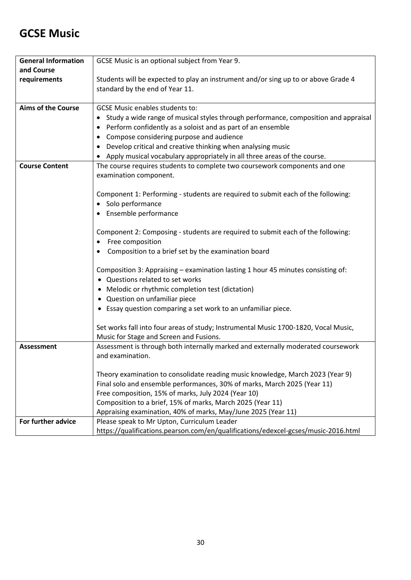#### **GCSE Music**

| <b>General Information</b> | GCSE Music is an optional subject from Year 9.                                                       |
|----------------------------|------------------------------------------------------------------------------------------------------|
| and Course                 |                                                                                                      |
| requirements               | Students will be expected to play an instrument and/or sing up to or above Grade 4                   |
|                            | standard by the end of Year 11.                                                                      |
|                            |                                                                                                      |
| <b>Aims of the Course</b>  | <b>GCSE Music enables students to:</b>                                                               |
|                            | Study a wide range of musical styles through performance, composition and appraisal                  |
|                            | Perform confidently as a soloist and as part of an ensemble<br>٠                                     |
|                            | Compose considering purpose and audience                                                             |
|                            | Develop critical and creative thinking when analysing music                                          |
|                            | Apply musical vocabulary appropriately in all three areas of the course.                             |
| <b>Course Content</b>      | The course requires students to complete two coursework components and one                           |
|                            | examination component.                                                                               |
|                            |                                                                                                      |
|                            | Component 1: Performing - students are required to submit each of the following:                     |
|                            | Solo performance                                                                                     |
|                            | Ensemble performance                                                                                 |
|                            | Component 2: Composing - students are required to submit each of the following:                      |
|                            | Free composition                                                                                     |
|                            | Composition to a brief set by the examination board                                                  |
|                            |                                                                                                      |
|                            | Composition 3: Appraising - examination lasting 1 hour 45 minutes consisting of:                     |
|                            | Questions related to set works                                                                       |
|                            | Melodic or rhythmic completion test (dictation)<br>٠                                                 |
|                            | Question on unfamiliar piece<br>٠                                                                    |
|                            | • Essay question comparing a set work to an unfamiliar piece.                                        |
|                            |                                                                                                      |
|                            | Set works fall into four areas of study; Instrumental Music 1700-1820, Vocal Music,                  |
|                            | Music for Stage and Screen and Fusions.                                                              |
| <b>Assessment</b>          | Assessment is through both internally marked and externally moderated coursework<br>and examination. |
|                            |                                                                                                      |
|                            | Theory examination to consolidate reading music knowledge, March 2023 (Year 9)                       |
|                            | Final solo and ensemble performances, 30% of marks, March 2025 (Year 11)                             |
|                            | Free composition, 15% of marks, July 2024 (Year 10)                                                  |
|                            | Composition to a brief, 15% of marks, March 2025 (Year 11)                                           |
|                            | Appraising examination, 40% of marks, May/June 2025 (Year 11)                                        |
| For further advice         | Please speak to Mr Upton, Curriculum Leader                                                          |
|                            | https://qualifications.pearson.com/en/qualifications/edexcel-gcses/music-2016.html                   |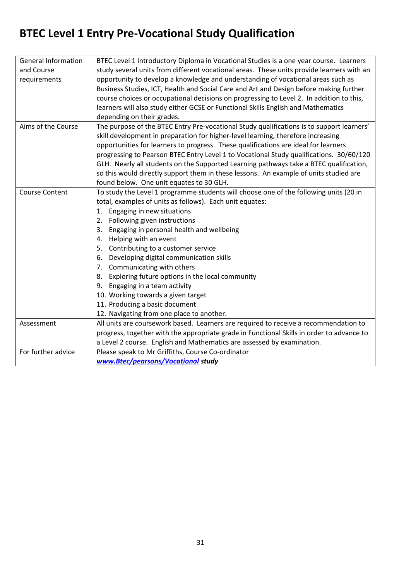## **BTEC Level 1 Entry Pre-Vocational Study Qualification**

| <b>General Information</b> | BTEC Level 1 Introductory Diploma in Vocational Studies is a one year course. Learners    |
|----------------------------|-------------------------------------------------------------------------------------------|
| and Course                 | study several units from different vocational areas. These units provide learners with an |
| requirements               | opportunity to develop a knowledge and understanding of vocational areas such as          |
|                            | Business Studies, ICT, Health and Social Care and Art and Design before making further    |
|                            | course choices or occupational decisions on progressing to Level 2. In addition to this,  |
|                            | learners will also study either GCSE or Functional Skills English and Mathematics         |
|                            | depending on their grades.                                                                |
| Aims of the Course         | The purpose of the BTEC Entry Pre-vocational Study qualifications is to support learners' |
|                            | skill development in preparation for higher-level learning, therefore increasing          |
|                            | opportunities for learners to progress. These qualifications are ideal for learners       |
|                            | progressing to Pearson BTEC Entry Level 1 to Vocational Study qualifications. 30/60/120   |
|                            | GLH. Nearly all students on the Supported Learning pathways take a BTEC qualification,    |
|                            | so this would directly support them in these lessons. An example of units studied are     |
|                            | found below. One unit equates to 30 GLH.                                                  |
| <b>Course Content</b>      | To study the Level 1 programme students will choose one of the following units (20 in     |
|                            | total, examples of units as follows). Each unit equates:                                  |
|                            | 1. Engaging in new situations                                                             |
|                            | 2. Following given instructions                                                           |
|                            | 3. Engaging in personal health and wellbeing                                              |
|                            | Helping with an event<br>4.                                                               |
|                            | Contributing to a customer service<br>5.                                                  |
|                            | Developing digital communication skills<br>6.                                             |
|                            | 7. Communicating with others                                                              |
|                            | 8. Exploring future options in the local community                                        |
|                            | 9. Engaging in a team activity                                                            |
|                            | 10. Working towards a given target                                                        |
|                            | 11. Producing a basic document                                                            |
|                            | 12. Navigating from one place to another.                                                 |
| Assessment                 | All units are coursework based. Learners are required to receive a recommendation to      |
|                            | progress, together with the appropriate grade in Functional Skills in order to advance to |
|                            | a Level 2 course. English and Mathematics are assessed by examination.                    |
| For further advice         | Please speak to Mr Griffiths, Course Co-ordinator                                         |
|                            | www.Btec/pearsons/Vocational study                                                        |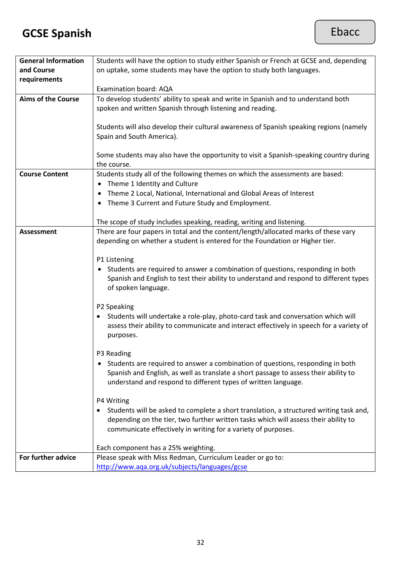## **GCSE Spanish**

| <b>General Information</b> | Students will have the option to study either Spanish or French at GCSE and, depending  |
|----------------------------|-----------------------------------------------------------------------------------------|
| and Course                 | on uptake, some students may have the option to study both languages.                   |
| requirements               |                                                                                         |
|                            | Examination board: AQA                                                                  |
| <b>Aims of the Course</b>  | To develop students' ability to speak and write in Spanish and to understand both       |
|                            | spoken and written Spanish through listening and reading.                               |
|                            |                                                                                         |
|                            | Students will also develop their cultural awareness of Spanish speaking regions (namely |
|                            |                                                                                         |
|                            | Spain and South America).                                                               |
|                            |                                                                                         |
|                            | Some students may also have the opportunity to visit a Spanish-speaking country during  |
|                            | the course.                                                                             |
| <b>Course Content</b>      | Students study all of the following themes on which the assessments are based:          |
|                            | Theme 1 Identity and Culture<br>$\bullet$                                               |
|                            | Theme 2 Local, National, International and Global Areas of Interest                     |
|                            | Theme 3 Current and Future Study and Employment.<br>٠                                   |
|                            |                                                                                         |
|                            |                                                                                         |
|                            | The scope of study includes speaking, reading, writing and listening.                   |
| <b>Assessment</b>          | There are four papers in total and the content/length/allocated marks of these vary     |
|                            | depending on whether a student is entered for the Foundation or Higher tier.            |
|                            |                                                                                         |
|                            | P1 Listening                                                                            |
|                            | Students are required to answer a combination of questions, responding in both<br>٠     |
|                            | Spanish and English to test their ability to understand and respond to different types  |
|                            | of spoken language.                                                                     |
|                            |                                                                                         |
|                            | P2 Speaking                                                                             |
|                            |                                                                                         |
|                            | Students will undertake a role-play, photo-card task and conversation which will        |
|                            | assess their ability to communicate and interact effectively in speech for a variety of |
|                            | purposes.                                                                               |
|                            |                                                                                         |
|                            | P3 Reading                                                                              |
|                            | Students are required to answer a combination of questions, responding in both          |
|                            | Spanish and English, as well as translate a short passage to assess their ability to    |
|                            | understand and respond to different types of written language.                          |
|                            |                                                                                         |
|                            | P4 Writing                                                                              |
|                            | Students will be asked to complete a short translation, a structured writing task and,  |
|                            | depending on the tier, two further written tasks which will assess their ability to     |
|                            |                                                                                         |
|                            | communicate effectively in writing for a variety of purposes.                           |
|                            |                                                                                         |
|                            | Each component has a 25% weighting.                                                     |
| For further advice         | Please speak with Miss Redman, Curriculum Leader or go to:                              |
|                            | http://www.aqa.org.uk/subjects/languages/gcse                                           |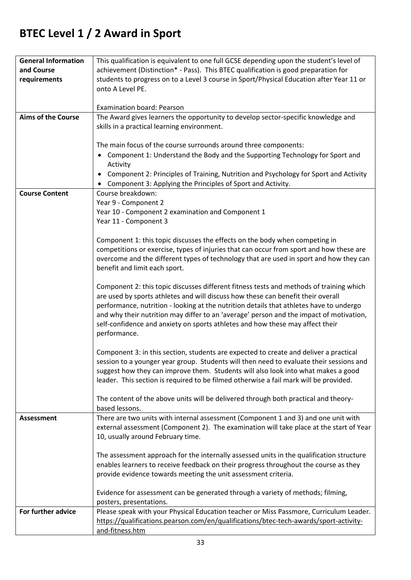## **BTEC Level 1 / 2 Award in Sport**

| <b>General Information</b> | This qualification is equivalent to one full GCSE depending upon the student's level of   |
|----------------------------|-------------------------------------------------------------------------------------------|
| and Course                 | achievement (Distinction* - Pass). This BTEC qualification is good preparation for        |
| requirements               | students to progress on to a Level 3 course in Sport/Physical Education after Year 11 or  |
|                            | onto A Level PE.                                                                          |
|                            |                                                                                           |
|                            |                                                                                           |
|                            | <b>Examination board: Pearson</b>                                                         |
| <b>Aims of the Course</b>  | The Award gives learners the opportunity to develop sector-specific knowledge and         |
|                            | skills in a practical learning environment.                                               |
|                            |                                                                                           |
|                            | The main focus of the course surrounds around three components:                           |
|                            | Component 1: Understand the Body and the Supporting Technology for Sport and<br>$\bullet$ |
|                            | Activity                                                                                  |
|                            | Component 2: Principles of Training, Nutrition and Psychology for Sport and Activity      |
|                            | Component 3: Applying the Principles of Sport and Activity.                               |
| <b>Course Content</b>      | Course breakdown:                                                                         |
|                            | Year 9 - Component 2                                                                      |
|                            |                                                                                           |
|                            | Year 10 - Component 2 examination and Component 1                                         |
|                            | Year 11 - Component 3                                                                     |
|                            |                                                                                           |
|                            | Component 1: this topic discusses the effects on the body when competing in               |
|                            | competitions or exercise, types of injuries that can occur from sport and how these are   |
|                            | overcome and the different types of technology that are used in sport and how they can    |
|                            | benefit and limit each sport.                                                             |
|                            |                                                                                           |
|                            | Component 2: this topic discusses different fitness tests and methods of training which   |
|                            | are used by sports athletes and will discuss how these can benefit their overall          |
|                            | performance, nutrition - looking at the nutrition details that athletes have to undergo   |
|                            | and why their nutrition may differ to an 'average' person and the impact of motivation,   |
|                            | self-confidence and anxiety on sports athletes and how these may affect their             |
|                            | performance.                                                                              |
|                            |                                                                                           |
|                            | Component 3: in this section, students are expected to create and deliver a practical     |
|                            | session to a younger year group. Students will then need to evaluate their sessions and   |
|                            | suggest how they can improve them. Students will also look into what makes a good         |
|                            | leader. This section is required to be filmed otherwise a fail mark will be provided.     |
|                            |                                                                                           |
|                            | The content of the above units will be delivered through both practical and theory-       |
|                            | based lessons.                                                                            |
| <b>Assessment</b>          | There are two units with internal assessment (Component 1 and 3) and one unit with        |
|                            |                                                                                           |
|                            | external assessment (Component 2). The examination will take place at the start of Year   |
|                            | 10, usually around February time.                                                         |
|                            |                                                                                           |
|                            | The assessment approach for the internally assessed units in the qualification structure  |
|                            | enables learners to receive feedback on their progress throughout the course as they      |
|                            | provide evidence towards meeting the unit assessment criteria.                            |
|                            |                                                                                           |
|                            | Evidence for assessment can be generated through a variety of methods; filming,           |
|                            | posters, presentations.                                                                   |
| For further advice         | Please speak with your Physical Education teacher or Miss Passmore, Curriculum Leader.    |
|                            | https://qualifications.pearson.com/en/qualifications/btec-tech-awards/sport-activity-     |
|                            | and-fitness.htm                                                                           |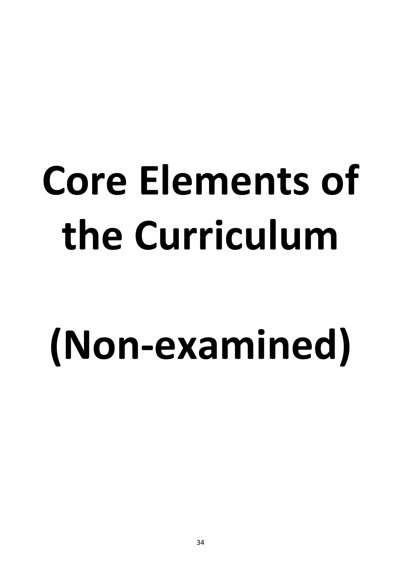# **Core Elements of the Curriculum**

## **(Non-examined)**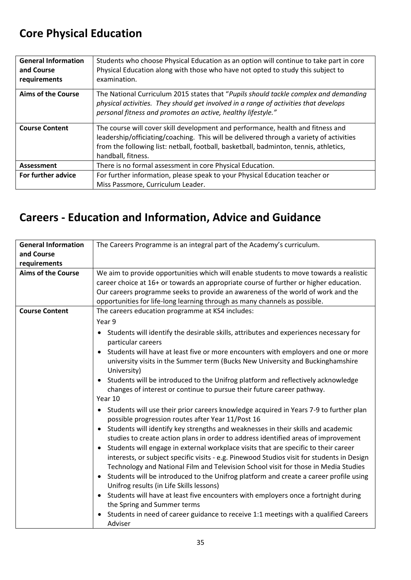## **Core Physical Education**

| <b>General Information</b><br>and Course<br>requirements | Students who choose Physical Education as an option will continue to take part in core<br>Physical Education along with those who have not opted to study this subject to<br>examination.                                                                                                 |
|----------------------------------------------------------|-------------------------------------------------------------------------------------------------------------------------------------------------------------------------------------------------------------------------------------------------------------------------------------------|
| <b>Aims of the Course</b>                                | The National Curriculum 2015 states that "Pupils should tackle complex and demanding<br>physical activities. They should get involved in a range of activities that develops<br>personal fitness and promotes an active, healthy lifestyle."                                              |
| <b>Course Content</b>                                    | The course will cover skill development and performance, health and fitness and<br>leadership/officiating/coaching. This will be delivered through a variety of activities<br>from the following list: netball, football, basketball, badminton, tennis, athletics,<br>handball, fitness. |
| <b>Assessment</b>                                        | There is no formal assessment in core Physical Education.                                                                                                                                                                                                                                 |
| For further advice                                       | For further information, please speak to your Physical Education teacher or<br>Miss Passmore, Curriculum Leader.                                                                                                                                                                          |

#### **Careers - Education and Information, Advice and Guidance**

| <b>General Information</b>                                                                                                                   | The Careers Programme is an integral part of the Academy's curriculum.                             |  |  |  |  |
|----------------------------------------------------------------------------------------------------------------------------------------------|----------------------------------------------------------------------------------------------------|--|--|--|--|
| and Course                                                                                                                                   |                                                                                                    |  |  |  |  |
| requirements                                                                                                                                 |                                                                                                    |  |  |  |  |
| <b>Aims of the Course</b>                                                                                                                    | We aim to provide opportunities which will enable students to move towards a realistic             |  |  |  |  |
|                                                                                                                                              | career choice at 16+ or towards an appropriate course of further or higher education.              |  |  |  |  |
|                                                                                                                                              | Our careers programme seeks to provide an awareness of the world of work and the                   |  |  |  |  |
|                                                                                                                                              | opportunities for life-long learning through as many channels as possible.                         |  |  |  |  |
| <b>Course Content</b>                                                                                                                        | The careers education programme at KS4 includes:                                                   |  |  |  |  |
|                                                                                                                                              | Year 9                                                                                             |  |  |  |  |
|                                                                                                                                              | Students will identify the desirable skills, attributes and experiences necessary for<br>$\bullet$ |  |  |  |  |
|                                                                                                                                              | particular careers                                                                                 |  |  |  |  |
|                                                                                                                                              | Students will have at least five or more encounters with employers and one or more<br>$\bullet$    |  |  |  |  |
|                                                                                                                                              | university visits in the Summer term (Bucks New University and Buckinghamshire<br>University)      |  |  |  |  |
|                                                                                                                                              | • Students will be introduced to the Unifrog platform and reflectively acknowledge                 |  |  |  |  |
|                                                                                                                                              | changes of interest or continue to pursue their future career pathway.                             |  |  |  |  |
|                                                                                                                                              | Year 10                                                                                            |  |  |  |  |
| • Students will use their prior careers knowledge acquired in Years 7-9 to further plan<br>possible progression routes after Year 11/Post 16 |                                                                                                    |  |  |  |  |
|                                                                                                                                              | Students will identify key strengths and weaknesses in their skills and academic<br>$\bullet$      |  |  |  |  |
|                                                                                                                                              | studies to create action plans in order to address identified areas of improvement                 |  |  |  |  |
|                                                                                                                                              | Students will engage in external workplace visits that are specific to their career<br>$\bullet$   |  |  |  |  |
|                                                                                                                                              | interests, or subject specific visits - e.g. Pinewood Studios visit for students in Design         |  |  |  |  |
|                                                                                                                                              | Technology and National Film and Television School visit for those in Media Studies                |  |  |  |  |
|                                                                                                                                              | Students will be introduced to the Unifrog platform and create a career profile using<br>$\bullet$ |  |  |  |  |
|                                                                                                                                              | Unifrog results (in Life Skills lessons)                                                           |  |  |  |  |
|                                                                                                                                              | • Students will have at least five encounters with employers once a fortnight during               |  |  |  |  |
|                                                                                                                                              | the Spring and Summer terms                                                                        |  |  |  |  |
|                                                                                                                                              | Students in need of career guidance to receive 1:1 meetings with a qualified Careers               |  |  |  |  |
|                                                                                                                                              | Adviser                                                                                            |  |  |  |  |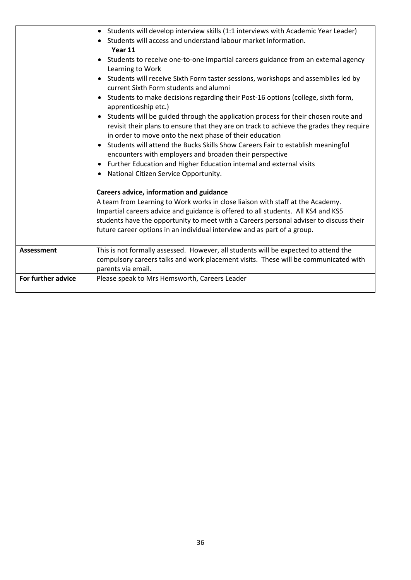|                    | Students will develop interview skills (1:1 interviews with Academic Year Leader)<br>$\bullet$<br>Students will access and understand labour market information.<br>Year 11<br>Students to receive one-to-one impartial careers guidance from an external agency<br>$\bullet$<br>Learning to Work<br>Students will receive Sixth Form taster sessions, workshops and assemblies led by<br>$\bullet$<br>current Sixth Form students and alumni<br>Students to make decisions regarding their Post-16 options (college, sixth form,<br>apprenticeship etc.)<br>Students will be guided through the application process for their chosen route and<br>revisit their plans to ensure that they are on track to achieve the grades they require<br>in order to move onto the next phase of their education<br>Students will attend the Bucks Skills Show Careers Fair to establish meaningful<br>$\bullet$<br>encounters with employers and broaden their perspective<br>Further Education and Higher Education internal and external visits<br>$\bullet$<br>National Citizen Service Opportunity.<br>$\bullet$<br>Careers advice, information and guidance<br>A team from Learning to Work works in close liaison with staff at the Academy.<br>Impartial careers advice and guidance is offered to all students. All KS4 and KS5<br>students have the opportunity to meet with a Careers personal adviser to discuss their<br>future career options in an individual interview and as part of a group. |
|--------------------|-----------------------------------------------------------------------------------------------------------------------------------------------------------------------------------------------------------------------------------------------------------------------------------------------------------------------------------------------------------------------------------------------------------------------------------------------------------------------------------------------------------------------------------------------------------------------------------------------------------------------------------------------------------------------------------------------------------------------------------------------------------------------------------------------------------------------------------------------------------------------------------------------------------------------------------------------------------------------------------------------------------------------------------------------------------------------------------------------------------------------------------------------------------------------------------------------------------------------------------------------------------------------------------------------------------------------------------------------------------------------------------------------------------------------------------------------------------------------------------------------------|
| <b>Assessment</b>  | This is not formally assessed. However, all students will be expected to attend the<br>compulsory careers talks and work placement visits. These will be communicated with<br>parents via email.                                                                                                                                                                                                                                                                                                                                                                                                                                                                                                                                                                                                                                                                                                                                                                                                                                                                                                                                                                                                                                                                                                                                                                                                                                                                                                    |
| For further advice | Please speak to Mrs Hemsworth, Careers Leader                                                                                                                                                                                                                                                                                                                                                                                                                                                                                                                                                                                                                                                                                                                                                                                                                                                                                                                                                                                                                                                                                                                                                                                                                                                                                                                                                                                                                                                       |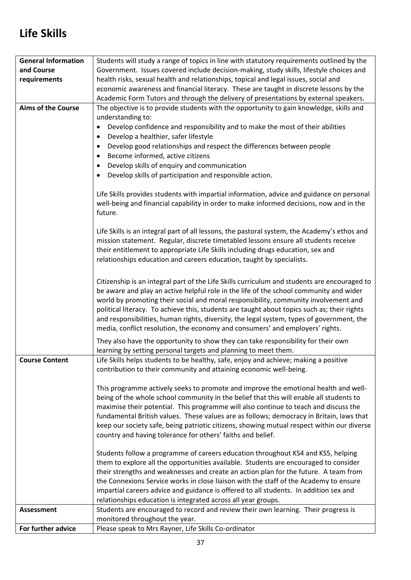### **Life Skills**

| <b>General Information</b>                                                          | Students will study a range of topics in line with statutory requirements outlined by the    |  |  |  |
|-------------------------------------------------------------------------------------|----------------------------------------------------------------------------------------------|--|--|--|
| and Course                                                                          | Government. Issues covered include decision-making, study skills, lifestyle choices and      |  |  |  |
| requirements                                                                        | health risks, sexual health and relationships, topical and legal issues, social and          |  |  |  |
|                                                                                     | economic awareness and financial literacy. These are taught in discrete lessons by the       |  |  |  |
|                                                                                     | Academic Form Tutors and through the delivery of presentations by external speakers.         |  |  |  |
| <b>Aims of the Course</b>                                                           | The objective is to provide students with the opportunity to gain knowledge, skills and      |  |  |  |
|                                                                                     | understanding to:                                                                            |  |  |  |
|                                                                                     | Develop confidence and responsibility and to make the most of their abilities<br>$\bullet$   |  |  |  |
|                                                                                     | Develop a healthier, safer lifestyle<br>٠                                                    |  |  |  |
|                                                                                     | Develop good relationships and respect the differences between people                        |  |  |  |
|                                                                                     | Become informed, active citizens<br>$\bullet$                                                |  |  |  |
|                                                                                     | Develop skills of enquiry and communication<br>٠                                             |  |  |  |
|                                                                                     | Develop skills of participation and responsible action.                                      |  |  |  |
|                                                                                     |                                                                                              |  |  |  |
|                                                                                     | Life Skills provides students with impartial information, advice and guidance on personal    |  |  |  |
|                                                                                     | well-being and financial capability in order to make informed decisions, now and in the      |  |  |  |
|                                                                                     | future.                                                                                      |  |  |  |
|                                                                                     | Life Skills is an integral part of all lessons, the pastoral system, the Academy's ethos and |  |  |  |
| mission statement. Regular, discrete timetabled lessons ensure all students receive |                                                                                              |  |  |  |
|                                                                                     | their entitlement to appropriate Life Skills including drugs education, sex and              |  |  |  |
|                                                                                     | relationships education and careers education, taught by specialists.                        |  |  |  |
|                                                                                     |                                                                                              |  |  |  |
|                                                                                     | Citizenship is an integral part of the Life Skills curriculum and students are encouraged to |  |  |  |
|                                                                                     | be aware and play an active helpful role in the life of the school community and wider       |  |  |  |
|                                                                                     | world by promoting their social and moral responsibility, community involvement and          |  |  |  |
|                                                                                     | political literacy. To achieve this, students are taught about topics such as; their rights  |  |  |  |
|                                                                                     | and responsibilities, human rights, diversity, the legal system, types of government, the    |  |  |  |
|                                                                                     | media, conflict resolution, the economy and consumers' and employers' rights.                |  |  |  |
|                                                                                     |                                                                                              |  |  |  |
|                                                                                     | They also have the opportunity to show they can take responsibility for their own            |  |  |  |
|                                                                                     | learning by setting personal targets and planning to meet them.                              |  |  |  |
| <b>Course Content</b>                                                               | Life Skills helps students to be healthy, safe, enjoy and achieve; making a positive         |  |  |  |
|                                                                                     | contribution to their community and attaining economic well-being.                           |  |  |  |
|                                                                                     | This programme actively seeks to promote and improve the emotional health and well-          |  |  |  |
|                                                                                     | being of the whole school community in the belief that this will enable all students to      |  |  |  |
|                                                                                     | maximise their potential. This programme will also continue to teach and discuss the         |  |  |  |
|                                                                                     | fundamental British values. These values are as follows; democracy in Britain, laws that     |  |  |  |
|                                                                                     | keep our society safe, being patriotic citizens, showing mutual respect within our diverse   |  |  |  |
|                                                                                     | country and having tolerance for others' faiths and belief.                                  |  |  |  |
|                                                                                     |                                                                                              |  |  |  |
|                                                                                     | Students follow a programme of careers education throughout KS4 and KS5, helping             |  |  |  |
|                                                                                     | them to explore all the opportunities available. Students are encouraged to consider         |  |  |  |
|                                                                                     | their strengths and weaknesses and create an action plan for the future. A team from         |  |  |  |
|                                                                                     | the Connexions Service works in close liaison with the staff of the Academy to ensure        |  |  |  |
|                                                                                     | impartial careers advice and guidance is offered to all students. In addition sex and        |  |  |  |
|                                                                                     | relationships education is integrated across all year groups.                                |  |  |  |
| <b>Assessment</b>                                                                   | Students are encouraged to record and review their own learning. Their progress is           |  |  |  |
|                                                                                     | monitored throughout the year.                                                               |  |  |  |
| For further advice                                                                  | Please speak to Mrs Rayner, Life Skills Co-ordinator                                         |  |  |  |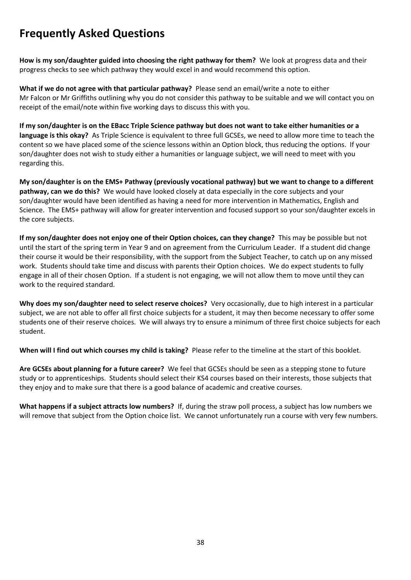#### **Frequently Asked Questions**

**How is my son/daughter guided into choosing the right pathway for them?** We look at progress data and their progress checks to see which pathway they would excel in and would recommend this option.

**What if we do not agree with that particular pathway?** Please send an email/write a note to either Mr Falcon or Mr Griffiths outlining why you do not consider this pathway to be suitable and we will contact you on receipt of the email/note within five working days to discuss this with you.

**If my son/daughter is on the EBacc Triple Science pathway but does not want to take either humanities or a language is this okay?** As Triple Science is equivalent to three full GCSEs, we need to allow more time to teach the content so we have placed some of the science lessons within an Option block, thus reducing the options. If your son/daughter does not wish to study either a humanities or language subject, we will need to meet with you regarding this.

**My son/daughter is on the EMS+ Pathway (previously vocational pathway) but we want to change to a different pathway, can we do this?** We would have looked closely at data especially in the core subjects and your son/daughter would have been identified as having a need for more intervention in Mathematics, English and Science. The EMS+ pathway will allow for greater intervention and focused support so your son/daughter excels in the core subjects.

**If my son/daughter does not enjoy one of their Option choices, can they change?** This may be possible but not until the start of the spring term in Year 9 and on agreement from the Curriculum Leader. If a student did change their course it would be their responsibility, with the support from the Subject Teacher, to catch up on any missed work. Students should take time and discuss with parents their Option choices. We do expect students to fully engage in all of their chosen Option. If a student is not engaging, we will not allow them to move until they can work to the required standard.

**Why does my son/daughter need to select reserve choices?** Very occasionally, due to high interest in a particular subject, we are not able to offer all first choice subjects for a student, it may then become necessary to offer some students one of their reserve choices. We will always try to ensure a minimum of three first choice subjects for each student.

**When will I find out which courses my child is taking?** Please refer to the timeline at the start of this booklet.

**Are GCSEs about planning for a future career?** We feel that GCSEs should be seen as a stepping stone to future study or to apprenticeships. Students should select their KS4 courses based on their interests, those subjects that they enjoy and to make sure that there is a good balance of academic and creative courses.

**What happens if a subject attracts low numbers?** If, during the straw poll process, a subject has low numbers we will remove that subject from the Option choice list. We cannot unfortunately run a course with very few numbers.